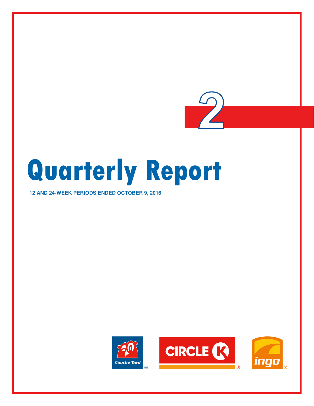

## **12 AND 24-WEEK PERIODS ENDED OCTOBER 9, 2016**





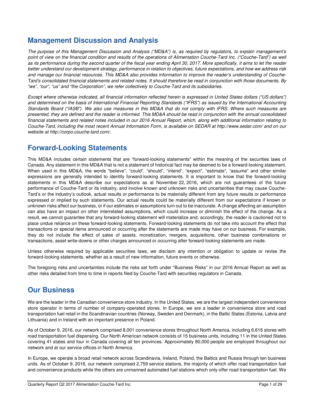# **Management Discussion and Analysis**

The purpose of this Management Discussion and Analysis ("MD&A") is, as required by regulators, to explain management's point of view on the financial condition and results of the operations of Alimentation Couche-Tard Inc. ("Couche-Tard") as well as its performance during the second quarter of the fiscal year ending April 30, 2017. More specifically, it aims to let the reader better understand our development strategy, performance in relation to objectives, future expectations, and how we address risk and manage our financial resources. This MD&A also provides information to improve the reader's understanding of Couche-Tard's consolidated financial statements and related notes. It should therefore be read in conjunction with those documents. By "we", "our", "us" and "the Corporation", we refer collectively to Couche-Tard and its subsidiaries.

Except where otherwise indicated, all financial information reflected herein is expressed in United States dollars ("US dollars") and determined on the basis of International Financial Reporting Standards ("IFRS") as issued by the International Accounting Standards Board ("IASB"). We also use measures in this MD&A that do not comply with IFRS. Where such measures are presented, they are defined and the reader is informed. This MD&A should be read in conjunction with the annual consolidated financial statements and related notes included in our 2016 Annual Report, which, along with additional information relating to Couche-Tard, including the most recent Annual Information Form, is available on SEDAR at http://www.sedar.com/ and on our website at http://corpo.couche-tard.com/.

# **Forward-Looking Statements**

This MD&A includes certain statements that are "forward-looking statements" within the meaning of the securities laws of Canada. Any statement in this MD&A that is not a statement of historical fact may be deemed to be a forward-looking statement. When used in this MD&A, the words "believe", "could", "should", "intend", "expect", "estimate", "assume" and other similar expressions are generally intended to identify forward-looking statements. It is important to know that the forward-looking statements in this MD&A describe our expectations as at November 22, 2016, which are not guarantees of the future performance of Couche-Tard or its industry, and involve known and unknown risks and uncertainties that may cause Couche-Tard's or the industry's outlook, actual results or performance to be materially different from any future results or performance expressed or implied by such statements. Our actual results could be materially different from our expectations if known or unknown risks affect our business, or if our estimates or assumptions turn out to be inaccurate. A change affecting an assumption can also have an impact on other interrelated assumptions, which could increase or diminish the effect of the change. As a result, we cannot guarantee that any forward-looking statement will materialize and, accordingly, the reader is cautioned not to place undue reliance on these forward-looking statements. Forward-looking statements do not take into account the effect that transactions or special items announced or occurring after the statements are made may have on our business. For example, they do not include the effect of sales of assets, monetization, mergers, acquisitions, other business combinations or transactions, asset write-downs or other charges announced or occurring after forward-looking statements are made.

Unless otherwise required by applicable securities laws, we disclaim any intention or obligation to update or revise the forward-looking statements, whether as a result of new information, future events or otherwise.

The foregoing risks and uncertainties include the risks set forth under "Business Risks" in our 2016 Annual Report as well as other risks detailed from time to time in reports filed by Couche-Tard with securities regulators in Canada.

# **Our Business**

We are the leader in the Canadian convenience store industry. In the United States, we are the largest independent convenience store operator in terms of number of company-operated stores. In Europe, we are a leader in convenience store and road transportation fuel retail in the Scandinavian countries (Norway, Sweden and Denmark), in the Baltic States (Estonia, Latvia and Lithuania) and in Ireland with an important presence in Poland.

As of October 9, 2016, our network comprised 8,001 convenience stores throughout North America, including 6,616 stores with road transportation fuel dispensing. Our North American network consists of 15 business units, including 11 in the United States covering 41 states and four in Canada covering all ten provinces. Approximately 80,000 people are employed throughout our network and at our service offices in North America.

In Europe, we operate a broad retail network across Scandinavia, Ireland, Poland, the Baltics and Russia through ten business units. As of October 9, 2016, our network comprised 2,759 service stations, the majority of which offer road transportation fuel and convenience products while the others are unmanned automated fuel stations which only offer road transportation fuel. We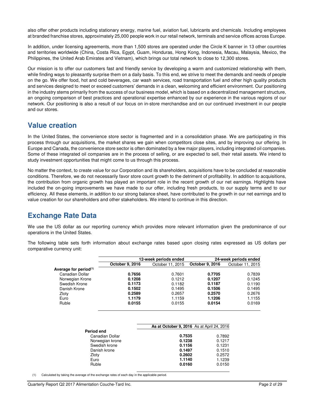also offer other products including stationary energy, marine fuel, aviation fuel, lubricants and chemicals. Including employees at branded franchise stores, approximately 25,000 people work in our retail network, terminals and service offices across Europe.

In addition, under licensing agreements, more than 1,500 stores are operated under the Circle K banner in 13 other countries and territories worldwide (China, Costa Rica, Egypt, Guam, Honduras, Hong Kong, Indonesia, Macau, Malaysia, Mexico, the Philippines, the United Arab Emirates and Vietnam), which brings our total network to close to 12,300 stores.

Our mission is to offer our customers fast and friendly service by developing a warm and customized relationship with them, while finding ways to pleasantly surprise them on a daily basis. To this end, we strive to meet the demands and needs of people on the go. We offer food, hot and cold beverages, car wash services, road transportation fuel and other high quality products and services designed to meet or exceed customers' demands in a clean, welcoming and efficient environment. Our positioning in the industry stems primarily from the success of our business model, which is based on a decentralized management structure, an ongoing comparison of best practices and operational expertise enhanced by our experience in the various regions of our network. Our positioning is also a result of our focus on in-store merchandise and on our continued investment in our people and our stores.

## **Value creation**

In the United States, the convenience store sector is fragmented and in a consolidation phase. We are participating in this process through our acquisitions, the market shares we gain when competitors close sites, and by improving our offering. In Europe and Canada, the convenience store sector is often dominated by a few major players, including integrated oil companies. Some of these integrated oil companies are in the process of selling, or are expected to sell, their retail assets. We intend to study investment opportunities that might come to us through this process.

No matter the context, to create value for our Corporation and its shareholders, acquisitions have to be concluded at reasonable conditions. Therefore, we do not necessarily favor store count growth to the detriment of profitability. In addition to acquisitions, the contribution from organic growth has played an important role in the recent growth of our net earnings. Highlights have included the on-going improvements we have made to our offer, including fresh products, to our supply terms and to our efficiency. All these elements, in addition to our strong balance sheet, have contributed to the growth in our net earnings and to value creation for our shareholders and other stakeholders. We intend to continue in this direction.

# **Exchange Rate Data**

We use the US dollar as our reporting currency which provides more relevant information given the predominance of our operations in the United States.

The following table sets forth information about exchange rates based upon closing rates expressed as US dollars per comparative currency unit:

|                                   |                 | 12-week periods ended |                 | 24-week periods ended |
|-----------------------------------|-----------------|-----------------------|-----------------|-----------------------|
|                                   | October 9, 2016 | October 11, 2015      | October 9, 2016 | October 11, 2015      |
| Average for period <sup>(1)</sup> |                 |                       |                 |                       |
| Canadian Dollar                   | 0.7656          | 0.7601                | 0.7705          | 0.7839                |
| Norwegian Krone                   | 0.1208          | 0.1212                | 0.1207          | 0.1245                |
| Swedish Krone                     | 0.1173          | 0.1182                | 0.1187          | 0.1190                |
| Danish Krone                      | 0.1502          | 0.1495                | 0.1506          | 0.1495                |
| Zloty                             | 0.2589          | 0.2657                | 0.2570          | 0.2676                |
| Euro                              | 1.1179          | 1.1159                | 1.1206          | 1.1155                |
| Ruble                             | 0.0155          | 0.0155                | 0.0154          | 0.0169                |
|                                   |                 |                       |                 |                       |

|                 | As at October 9, 2016 As at April 24, 2016 |        |
|-----------------|--------------------------------------------|--------|
| Period end      |                                            |        |
| Canadian Dollar | 0.7535                                     | 0.7892 |
| Norwegian krone | 0.1238                                     | 0.1217 |
| Swedish krone   | 0.1156                                     | 0.1231 |
| Danish krone    | 0.1497                                     | 0.1510 |
| Zloty           | 0.2602                                     | 0.2572 |
| Euro            | 1.1140                                     | 1.1239 |
| Ruble           | 0.0160                                     | 0.0150 |

(1) Calculated by taking the average of the exchange rates of each day in the applicable period.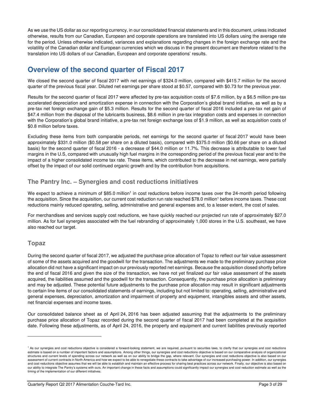As we use the US dollar as our reporting currency, in our consolidated financial statements and in this document, unless indicated otherwise, results from our Canadian, European and corporate operations are translated into US dollars using the average rate for the period. Unless otherwise indicated, variances and explanations regarding changes in the foreign exchange rate and the volatility of the Canadian dollar and European currencies which we discuss in the present document are therefore related to the translation into US dollars of our Canadian, European and corporate operations' results.

# **Overview of the second quarter of Fiscal 2017**

We closed the second quarter of fiscal 2017 with net earnings of \$324.0 million, compared with \$415.7 million for the second quarter of the previous fiscal year. Diluted net earnings per share stood at \$0.57, compared with \$0.73 for the previous year.

Results for the second quarter of fiscal 2017 were affected by pre-tax acquisition costs of \$7.6 million, by a \$6.5 million pre-tax accelerated depreciation and amortization expense in connection with the Corporation's global brand initiative, as well as by a pre-tax net foreign exchange gain of \$5.3 million. Results for the second quarter of fiscal 2016 included a pre-tax net gain of \$47.4 million from the disposal of the lubricants business, \$8.6 million in pre-tax integration costs and expenses in connection with the Corporation's global brand initiative, a pre-tax net foreign exchange loss of \$1.9 million, as well as acquisition costs of \$0.8 million before taxes.

Excluding these items from both comparable periods, net earnings for the second quarter of fiscal 2017 would have been approximately \$331.0 million (\$0.58 per share on a diluted basis), compared with \$375.0 million (\$0.66 per share on a diluted basis) for the second quarter of fiscal 2016 - a decrease of \$44.0 million or 11.7%. This decrease is attributable to lower fuel margins in the U.S, compared with unusually high fuel margins in the corresponding period of the previous fiscal year and to the impact of a higher consolidated income tax rate. These items, which contributed to the decrease in net earnings, were partially offset by the impact of our solid continued organic growth and by the contribution from acquisitions.

## **The Pantry Inc. – Synergies and cost reductions initiatives**

We expect to achieve a minimum of \$85.0 million<sup>1</sup> in cost reductions before income taxes over the 24-month period following the acquisition. Since the acquisition, our current cost reduction run rate reached \$78.0 million<sup>1</sup> before income taxes. These cost reductions mainly reduced operating, selling, administrative and general expenses and, to a lesser extent, the cost of sales.

For merchandises and services supply cost reductions, we have quickly reached our projected run rate of approximately \$27.0 million. As for fuel synergies associated with the fuel rebranding of approximately 1,000 stores in the U.S. southeast, we have also reached our target.

## **Topaz**

 $\overline{a}$ 

During the second quarter of fiscal 2017, we adjusted the purchase price allocation of Topaz to reflect our fair value assessment of some of the assets acquired and the goodwill for the transaction. The adjustments we made to the preliminary purchase price allocation did not have a significant impact on our previously reported net earnings. Because the acquisition closed shortly before the end of fiscal 2016 and given the size of the transaction, we have not yet finalized our fair value assessment of the assets acquired, the liabilities assumed and the goodwill for the transaction. Consequently, the purchase price allocation is preliminary and may be adjusted. These potential future adjustments to the purchase price allocation may result in significant adjustments to certain line items of our consolidated statements of earnings, including but not limited to: operating, selling, administrative and general expenses, depreciation, amortization and impairment of property and equipment, intangibles assets and other assets, net financial expenses and income taxes.

Our consolidated balance sheet as of April 24, 2016 has been adjusted assuming that the adjustments to the preliminary purchase price allocation of Topaz recorded during the second quarter of fiscal 2017 had been completed at the acquisition date. Following these adjustments, as of April 24, 2016, the property and equipment and current liabilities previously reported

<sup>&</sup>lt;sup>1</sup> As our synergies and cost reductions objective is considered a forward-looking statement, we are required, pursuant to securities laws, to clarify that our synergies and cost reductions estimate is based on a number of important factors and assumptions. Among other things, our synergies and cost reductions objective is based on our comparative analysis of organizational structures and current levels of spending across our network as well as on our ability to bridge the gap, where relevant. Our synergies and cost reductions objective is also based on our assessment of current contracts in North America and how we expect to be able to renegotiate these contracts to take advantage of our increased purchasing power. In addition, our synergies and cost reductions objective assumes that we will be able to establish and maintain an effective process for sharing best practices across our network. Finally, our objective is also based on our ability to integrate The Pantry's systems with ours. An important change in these facts and assumptions could significantly impact our synergies and cost reduction estimate as well as the timing of the implementation of our different initiatives.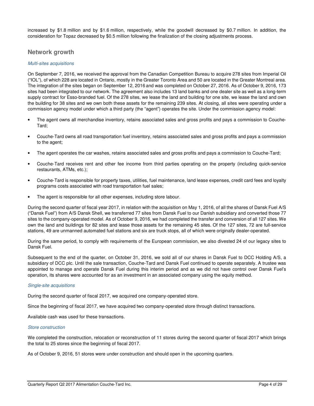increased by \$1.8 million and by \$1.6 million, respectively, while the goodwill decreased by \$0.7 million. In addition, the consideration for Topaz decreased by \$0.5 million following the finalization of the closing adjustments process.

## **Network growth**

## Multi-sites acquisitions

On September 7, 2016, we received the approval from the Canadian Competition Bureau to acquire 278 sites from Imperial Oil ("IOL"), of which 228 are located in Ontario, mostly in the Greater Toronto Area and 50 are located in the Greater Montreal area. The integration of the sites began on September 12, 2016 and was completed on October 27, 2016. As of October 9, 2016, 173 sites had been integrated to our network. The agreement also includes 13 land banks and one dealer site as well as a long-term supply contract for Esso-branded fuel. Of the 278 sites, we lease the land and building for one site, we lease the land and own the building for 38 sites and we own both these assets for the remaining 239 sites. At closing, all sites were operating under a commission agency model under which a third party (the "agent") operates the site. Under the commission agency model:

- The agent owns all merchandise inventory, retains associated sales and gross profits and pays a commission to Couche-Tard;
- Couche-Tard owns all road transportation fuel inventory, retains associated sales and gross profits and pays a commission to the agent;
- The agent operates the car washes, retains associated sales and gross profits and pays a commission to Couche-Tard;
- Couche-Tard receives rent and other fee income from third parties operating on the property (including quick-service restaurants, ATMs, etc.);
- Couche-Tard is responsible for property taxes, utilities, fuel maintenance, land lease expenses, credit card fees and loyalty programs costs associated with road transportation fuel sales;
- The agent is responsible for all other expenses, including store labour.

During the second quarter of fiscal year 2017, in relation with the acquisition on May 1, 2016, of all the shares of Dansk Fuel A/S ("Dansk Fuel") from A/S Dansk Shell, we transferred 77 sites from Dansk Fuel to our Danish subsidiary and converted those 77 sites to the company-operated model. As of October 9, 2016, we had completed the transfer and conversion of all 127 sites. We own the land and buildings for 82 sites and lease those assets for the remaining 45 sites. Of the 127 sites, 72 are full-service stations, 49 are unmanned automated fuel stations and six are truck stops, all of which were originally dealer-operated.

During the same period, to comply with requirements of the European commission, we also divested 24 of our legacy sites to Dansk Fuel.

Subsequent to the end of the quarter, on October 31, 2016, we sold all of our shares in Dansk Fuel to DCC Holding A/S, a subsidiary of DCC plc. Until the sale transaction, Couche-Tard and Dansk Fuel continued to operate separately. A trustee was appointed to manage and operate Dansk Fuel during this interim period and as we did not have control over Dansk Fuel's operation, its shares were accounted for as an investment in an associated company using the equity method.

### Single-site acquisitions

During the second quarter of fiscal 2017, we acquired one company-operated store.

Since the beginning of fiscal 2017, we have acquired two company-operated store through distinct transactions.

Available cash was used for these transactions.

### Store construction

We completed the construction, relocation or reconstruction of 11 stores during the second quarter of fiscal 2017 which brings the total to 25 stores since the beginning of fiscal 2017.

As of October 9, 2016, 51 stores were under construction and should open in the upcoming quarters.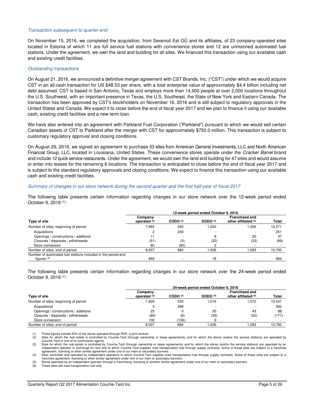#### Transaction subsequent to quarter-end

On November 15, 2016, we completed the acquisition, from Sevenoil Est OÜ and its affiliates, of 23 company-operated sites located in Estonia of which 11 are full service fuel stations with convenience stores and 12 are unmanned automated fuel stations. Under the agreement, we own the land and building for all sites. We financed this transaction using our available cash and existing credit facilities.

#### Outstanding transactions

On August 21, 2016, we announced a definitive merger agreement with CST Brands, Inc. ("CST") under which we would acquire CST in an all-cash transaction for US \$48.53 per share, with a total enterprise value of approximately \$4.4 billion including net debt assumed. CST is based in San Antonio, Texas and employs more than 14,000 people at over 2,000 locations throughout the U.S. Southwest, with an important presence in Texas, the U.S. Southeast, the State of New York and Eastern Canada. The transaction has been approved by CST's stockholders on November 16, 2016 and is still subject to regulatory approvals in the United States and Canada. We expect it to close before the end of fiscal year 2017 and we plan to finance it using our available cash, existing credit facilities and a new term loan.

We have also entered into an agreement with Parkland Fuel Corporation ("Parkland") pursuant to which we would sell certain Canadian assets of CST to Parkland after the merger with CST for approximately \$750.0 million. This transaction is subject to customary regulatory approval and closing conditions.

On August 29, 2016, we signed an agreement to purchase 53 sites from American General Investments, LLC and North American Financial Group, LLC, located in Louisiana, United States. These convenience stores operate under the Cracker Barrel brand and include 12 quick service restaurants. Under the agreement, we would own the land and building for 47 sites and would assume or enter into leases for the remaining 6 locations. The transaction is anticipated to close before the end of fiscal year 2017 and is subject to the standard regulatory approvals and closing conditions. We expect to finance this transaction using our available cash and existing credit facilities.

### Summary of changes in our store network during the second quarter and the first half-year of fiscal 2017

The following table presents certain information regarding changes in our store network over the 12-week period ended October 9, 2016 (1):

|                                                              | 12-week period ended October 9, 2016 |                     |            |                                               |        |  |  |
|--------------------------------------------------------------|--------------------------------------|---------------------|------------|-----------------------------------------------|--------|--|--|
| Type of site                                                 | Company-<br>operated $(2)$           | CODO <sup>(3)</sup> | DODO $(4)$ | <b>Franchised and</b><br>other affiliated (5) | Total  |  |  |
| Number of sites, beginning of period                         | 7,965                                | 520                 | 1.020      | 1.066                                         | 10,571 |  |  |
| Acquisitions                                                 | ◠                                    | 249                 |            |                                               | 251    |  |  |
| Openings / constructions / additions                         |                                      |                     | 6          | 20                                            | 37     |  |  |
| Closures / disposals / withdrawals                           | (51)                                 | (3)                 | (22)       | (23)                                          | (99)   |  |  |
| Store conversion                                             | 80                                   | (82)                |            |                                               |        |  |  |
| Number of sites, end of period                               | 8.007                                | 684                 | 0.006      | 1.063                                         | 10,760 |  |  |
| Number of automated fuel stations included in the period end |                                      |                     |            |                                               |        |  |  |
| figures $(6)$                                                | 946                                  |                     | 18         |                                               | 964    |  |  |

The following table presents certain information regarding changes in our store network over the 24-week period ended October 9, 2016 (1):

|                                      | 24-week period ended October 9, 2016 |                     |                                                             |       |              |  |  |
|--------------------------------------|--------------------------------------|---------------------|-------------------------------------------------------------|-------|--------------|--|--|
| Type of site                         | Company-<br>operated $(2)$           | CODO <sup>(3)</sup> | <b>Franchised and</b><br>DODO $(4)$<br>other affiliated (5) |       | <b>Total</b> |  |  |
| Number of sites, beginning of period | 7.929                                | 530                 | 1.016                                                       | 1.072 | 10.547       |  |  |
| Acquisitions                         |                                      | 299                 |                                                             |       | 302          |  |  |
| Openings / constructions / additions | 25                                   |                     | 20                                                          | 43    | 88           |  |  |
| Closures / disposals / withdrawals   | (80)                                 | (6)                 | (39)                                                        | (52)  | (177)        |  |  |
| Store conversion                     | 130                                  | 139                 |                                                             |       |              |  |  |
| Number of sites, end of period       | 8.007                                | 684                 | .006                                                        | 1.063 | 10.760       |  |  |

(1) These figures include 50% of the stores operated through RDK, a joint venture<br>(2) Sites for which the real estate is controlled by Couche-Tard (through owner

Sites for which the real estate is controlled by Couche-Tard (through ownership or lease agreements) and for which the stores (and/or the service stations) are operated by Couche-Tard or one of its commission agents.

(3) Sites for which the real estate is controlled by Couche-Tard (through ownership or lease agreements) and for which the stores (and/or the service stations) are operated by an<br>independent operator in exchange for rent a agreement, licensing or other similar agreement under one of our main or secondary banners.

(4) Sites controlled and operated by independent operators to which Couche-Tard supplies road transportation fuel through supply contracts. Some of these sites are subject to a franchise agreement, licensing or other similar agreement under one of our main or secondary banners.

Stores operated by an independent operator through a franchising, licensing or another similar agreement under one of our main or secondary banners.

These sites sell road transportation fuel only.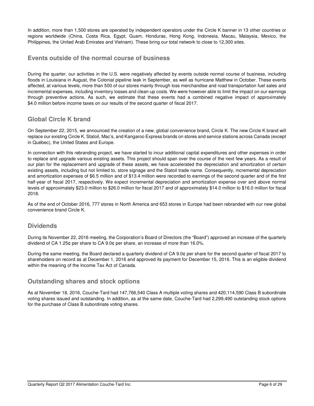In addition, more than 1,500 stores are operated by independent operators under the Circle K banner in 13 other countries or regions worldwide (China, Costa Rica, Egypt, Guam, Honduras, Hong Kong, Indonesia, Macau, Malaysia, Mexico, the Philippines, the United Arab Emirates and Vietnam). These bring our total network to close to 12,300 sites.

## **Events outside of the normal course of business**

During the quarter, our activities in the U.S. were negatively affected by events outside normal course of business, including floods in Louisiana in August, the Colonial pipeline leak in September, as well as hurricane Matthew in October. These events affected, at various levels, more than 500 of our stores mainly through loss merchandise and road transportation fuel sales and incremental expenses, including inventory losses and clean-up costs. We were however able to limit the impact on our earnings through preventive actions. As such, we estimate that these events had a combined negative impact of approximately \$4.0 million before income taxes on our results of the second quarter of fiscal 2017.

## **Global Circle K brand**

On September 22, 2015, we announced the creation of a new, global convenience brand, Circle K. The new Circle K brand will replace our existing Circle K, Statoil, Mac's, and Kangaroo Express brands on stores and service stations across Canada (except in Québec), the United States and Europe.

In connection with this rebranding project, we have started to incur additional capital expenditures and other expenses in order to replace and upgrade various existing assets. This project should span over the course of the next few years. As a result of our plan for the replacement and upgrade of these assets, we have accelerated the depreciation and amortization of certain existing assets, including but not limited to, store signage and the Statoil trade name. Consequently, incremental depreciation and amortization expenses of \$6.5 million and of \$13.4 million were recorded to earnings of the second quarter and of the first half-year of fiscal 2017, respectively. We expect incremental depreciation and amortization expense over and above normal levels of approximately \$23.0 million to \$26.0 million for fiscal 2017 and of approximately \$14.0 million to \$16.0 million for fiscal 2018.

As of the end of October 2016, 777 stores in North America and 653 stores in Europe had been rebranded with our new global convenience brand Circle K.

## **Dividends**

During its November 22, 2016 meeting, the Corporation's Board of Directors (the "Board") approved an increase of the quarterly dividend of CA 1.25¢ per share to CA 9.0¢ per share, an increase of more than 16.0%.

During the same meeting, the Board declared a quarterly dividend of CA 9.0¢ per share for the second quarter of fiscal 2017 to shareholders on record as at December 1, 2016 and approved its payment for December 15, 2016. This is an eligible dividend within the meaning of the Income Tax Act of Canada.

## **Outstanding shares and stock options**

As at November 18, 2016, Couche-Tard had 147,766,540 Class A multiple voting shares and 420,114,590 Class B subordinate voting shares issued and outstanding. In addition, as at the same date, Couche-Tard had 2,299,490 outstanding stock options for the purchase of Class B subordinate voting shares.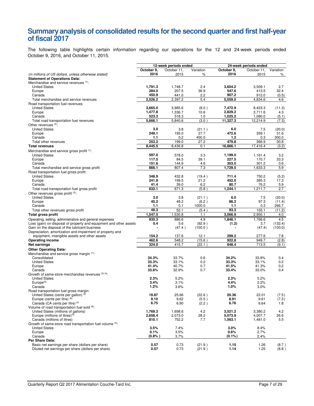## **Summary analysis of consolidated results for the second quarter and first half-year of fiscal 2017**

The following table highlights certain information regarding our operations for the 12 and 24-week periods ended October 9, 2016, and October 11, 2015.

|                                                                                                            |            | 12-week periods ended |               | 24-week periods ended |             |               |
|------------------------------------------------------------------------------------------------------------|------------|-----------------------|---------------|-----------------------|-------------|---------------|
|                                                                                                            | October 9, | October 11.           | Variation     | October 9.            | October 11, | Variation     |
| (in millions of US dollars, unless otherwise stated)                                                       | 2016       | 2015                  | ℅             | 2016                  | 2015        | %             |
| <b>Statement of Operations Data:</b>                                                                       |            |                       |               |                       |             |               |
| Merchandise and service revenues (1):                                                                      |            |                       |               |                       |             |               |
| <b>United States</b>                                                                                       | 1,791.3    | 1,748.7               | 2.4           | 3,604.2               | 3,509.1     | 2.7           |
| Europe                                                                                                     | 284.0      | 207.5                 | 36.9          | 547.6                 | 413.5       | 32.4          |
| Canada                                                                                                     | 450.9      | 441.0                 | 2.2           | 907.2                 | 912.0       | (0.5)         |
| Total merchandise and service revenues                                                                     | 2,526.2    | 2,397.2               | 5.4           | 5,059.0               | 4,834.6     | 4.6           |
| Road transportation fuel revenues:<br><b>United States</b>                                                 | 3,665.0    |                       |               | 7,472.9               | 8,423.3     |               |
| Europe                                                                                                     | 1,477.8    | 3,985.6<br>1,336.7    | (8.0)<br>10.6 | 2,829.2               | 2,711.6     | (11.3)<br>4.3 |
| Canada                                                                                                     | 523.3      | 518.3                 | 1.0           | 1,025.2               | 1,080.0     | (5.1)         |
| Total road transportation fuel revenues                                                                    | 5,666.1    | 5,840.6               | (3.0)         | 11,327.3              | 12,214.9    | (7.3)         |
| Other revenues <sup>(2)</sup> :                                                                            |            |                       |               |                       |             |               |
| <b>United States</b>                                                                                       | 3.0        | 3.8                   | (21.1)        | 6.0                   | 7.5         | (20.0)        |
| Europe                                                                                                     | 249.1      | 195.0                 | 27.7          | 472.6                 | 359.1       | 31.6          |
| Canada                                                                                                     | 1.1        | 0.2                   | 450.0         | 1.2                   | 0.3         | 300.0         |
| Total other revenues                                                                                       | 253.2      | 199.0                 | 27.2          | 479.8                 | 366.9       | 30.8          |
| <b>Total revenues</b>                                                                                      | 8,445.5    | 8,436.8               | 0.1           | 16,866.1              | 17,416.4    | (3.2)         |
| Merchandise and service gross profit (1):                                                                  |            |                       |               |                       |             |               |
| <b>United States</b>                                                                                       | 597.0      | 578.0                 | 3.3           | 1,199.0               | 1,161.4     | 3.2           |
| Europe                                                                                                     | 117.5      | 84.5                  | 39.1          | 227.5                 | 170.7       | 33.3          |
| Canada                                                                                                     | 151.6      | 144.9                 | 4.6           | 303.0                 | 301.2       | 0.6           |
| Total merchandise and service gross profit                                                                 | 866.1      | 807.4                 | 7.3           | 1,729.5               | 1,633.3     | 5.9           |
| Road transportation fuel gross profit:                                                                     |            |                       |               |                       |             |               |
| <b>United States</b>                                                                                       | 348.9      | 432.8                 | (19.4)        | 711.4                 | 750.2       | (5.2)         |
| Europe                                                                                                     | 241.8      | 199.5                 | 21.2          | 452.0                 | 385.3       | 17.3          |
| Canada                                                                                                     | 41.4       | 39.0                  | 6.2           | 80.7                  | 76.2        | 5.9           |
| Total road transportation fuel gross profit                                                                | 632.1      | 671.3                 | (5.8)         | 1,244.1               | 1.211.7     | 2.7           |
| Other revenues gross profit (2):                                                                           |            |                       |               |                       |             |               |
| <b>United States</b>                                                                                       | 3.0        | 3.8                   | (21.1)        | 6.0                   | 7.5         | (20.0)        |
| Europe                                                                                                     | 45.2       | 48.2                  | (6.2)         | 86.2                  | 97.3        | (11.4)        |
| Canada                                                                                                     | 1.1        | 0.1                   | 1000.0        | 1.1                   | 0.3         | 266.7         |
| Total other revenues gross profit                                                                          | 49.3       | 52.1                  | (5.4)         | 93.3                  | 105.1       | (11.2)        |
| <b>Total gross profit</b>                                                                                  | 1,547.5    | 1,530.8               | 1.1           | 3,066.9               | 2,950.1     | 4.0           |
| Operating, selling, administrative and general expenses                                                    | 930.3      | 886.6                 | 4.9           | 1,846.1               | 1,766.6     | 4.5           |
| Loss (gain) on disposal of property and equipment and other assets                                         | 0.4        | 5.6                   | (92.9)        | (1.2)                 | 3.7         | (132.4)       |
| Gain on the disposal of the lubricant business                                                             |            | (47.4)                | (100.0)       |                       | (47.4)      | (100.0)       |
| Depreciation, amortization and impairment of property and<br>equipment, intangible assets and other assets | 154.2      | 137.6                 | 12.1          | 299.2                 | 277.6       | 7.8           |
| <b>Operating income</b>                                                                                    | 462.6      | 548.2                 | (15.6)        | 922.8                 | 949.7       | (2.8)         |
| Net earnings                                                                                               | 324.0      | 415.7                 | (22.1)        | 648.4                 | 713.5       | (9.1)         |
|                                                                                                            |            |                       |               |                       |             |               |
| <b>Other Operating Data:</b><br>Merchandise and service gross margin (1):                                  |            |                       |               |                       |             |               |
| Consolidated                                                                                               | 34.3%      | 33.7%                 | 0.6           | 34.2%                 | 33.8%       | 0.4           |
| <b>United States</b>                                                                                       | 33.3%      | 33.1%                 | 0.2           | 33.3%                 | 33.1%       | 0.2           |
| Europe                                                                                                     | 41.4%      | 40.7%                 | 0.7           | 41.5%                 | 41.3%       | 0.2           |
| Canada                                                                                                     | 33.6%      | 32.9%                 | 0.7           | 33.4%                 | 33.0%       | 0.4           |
| Growth of same-store merchandise revenues (3) (4).                                                         |            |                       |               |                       |             |               |
| <b>United States</b>                                                                                       | 2.3%       | 5.2%                  |               | 2.3%                  | 5.2%        |               |
| Europe <sup>(5)</sup>                                                                                      | 3.4%       | 3.1%                  |               | 4.4%                  | 2.2%        |               |
| Canada                                                                                                     | 1.2%       | 3.6%                  |               | 1.0%                  | 3.0%        |               |
| Road transportation fuel gross margin:                                                                     |            |                       |               |                       |             |               |
| United States (cents per gallon) <sup>(4)</sup>                                                            | 19.87      | 25.66                 | (22.6)        | 20.36                 | 22.01       | (7.5)         |
| Europe (cents per litre) $(6)$                                                                             | 9.10       | 9.62                  | (5.5)         | 8.91                  | 9.61        | (7.3)         |
| Canada (CA cents per litre) <sup>(4)</sup>                                                                 | 6.75       | 6.90                  | (2.2)         | 6.76                  | 6.64        | 1.8           |
| Volume of road transportation fuel sold (6):<br>United States (millions of gallons)                        | 1,769.3    |                       |               | 3,521.2               | 3,380.2     |               |
| Europe (millions of litres) <sup>(5)</sup>                                                                 | 2.658.4    | 1,698.6<br>2,073.0    | 4.2<br>28.2   | 5,073.9               | 4,007.7     | 4.2<br>26.6   |
| Canada (millions of litres)                                                                                | 810.1      | 752.2                 | 7.7           | 1,563.1               | 1,481.0     | 5.5           |
| Growth of same-store road transportation fuel volume (4):                                                  |            |                       |               |                       |             |               |
| <b>United States</b>                                                                                       | 3.5%       | 7.4%                  |               | 3.0%                  | 8.4%        |               |
| Europe                                                                                                     | 0.1%       | 3.5%                  |               | 0.6%                  | 2.7%        |               |
| Canada                                                                                                     | $(0.8\% )$ | 3.7%                  |               | $(0.1\%)$             | 2.4%        |               |
| Per Share Data:                                                                                            |            |                       |               |                       |             |               |
| Basic net earnings per share (dollars per share)                                                           | 0.57       | 0.73                  | (21.9)        | 1.15                  | 1.26        | (8.7)         |
| Diluted net earnings per share (dollars per share)                                                         | 0.57       | 0.73                  | (21.9)        | 1.14                  | 1.25        | (8.8)         |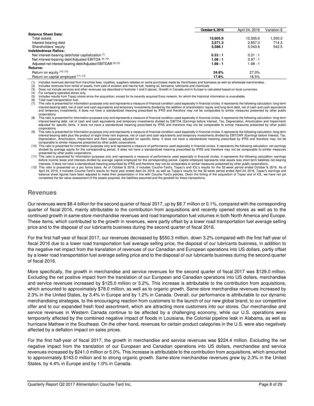|                                                              | October 9, 2016 | April 24, 2016 | Variation \$ |
|--------------------------------------------------------------|-----------------|----------------|--------------|
| <b>Balance Sheet Data:</b>                                   |                 |                |              |
| Total assets                                                 | 13.605.9        | 12.305.6       | .300.3       |
| Interest-bearing debt                                        | 3.571.3         | 2.857.0        | 714.3        |
| Shareholders' equity                                         | 5,586.1         | 5.043.6        | 542.5        |
| <b>Indebtedness Ratios:</b>                                  |                 |                |              |
| Net interest-bearing debt/total capitalization (7)           | 0.33 : 1        | 0.31 : 1       |              |
| Net interest-bearing debt/Adjusted EBITDA (8) (12)           | 1.08:1          | 0.97:1         |              |
| Adjusted net interest-bearing debt/Adjusted EBITDAR (9) (12) | 1.98:1          | 1.98:1         |              |
| <b>Returns:</b>                                              |                 |                |              |
| Return on equity (10) (12)                                   | 24.8%           | 27.0%          |              |
| Return on capital employed (11) (12)                         | 17.8%           | 18.5%          |              |

Includes revenues derived from franchise fees, royalties, suppliers rebates on some purchases made by franchisees and licensees as well as wholesale merchandise.

(2) Includes revenues from rental of assets, from sale of aviation and marine fuel, heating oil, kerosene, lubricants and chemicals.

(3) Does not include services and other revenues (as described in footnote 1 and 2 above). Growth in Canada and in Europe is calculated based on local currencies<br>(4) For company-operated stores only.<br>(5) Includes results f

For company-operated stores only.

Includes results from Topaz stores since the acquisition, except for its recently acquired Esso network, for which the historical information is unavailable

Total road transportation fuel.

- (7) This ratio is presented for information purposes only and represents a measure of financial condition used especially in financial circles. It represents the following calculation: long-term interest-bearing debt, net of cash and cash equivalents and temporary investments divided by the addition of shareholders' equity and long-term debt, net of cash and cash equivalents and temporary investments. It does not have a standardized meaning prescribed by IFRS and therefore may not be comparable to similar measures presented by other public corporations.
- This ratio is presented for information purposes only and represents a measure of financial condition used especially in financial circles. It represents the following calculation: long-term interest-bearing debt, net of cash and cash equivalents and temporary investments divided by EBITDA (Earnings before Interest, Tax, Depreciation, Amortization and Impairment) adjusted for specific items. It does not have a standardized meaning prescribed by IFRS and therefore may not be comparable to similar measures presented by other public corporations.
- (9) This ratio is presented for information purposes only and represents a measure of financial condition used especially in financial circles. It represents the following calculation: long-term interest-bearing debt plus the product of eight times rent expense, net of cash and cash equivalents and temporary investments divided by EBITDAR (Earnings before Interest, Tax, Depreciation, Amortization, Impairment and Rent expense) adjusted for specific items. It does not have a standardized meaning prescribed by IFRS and therefore may not be comparable to similar measures presented by other public corporations.
- (10) This ratio is presented for information purposes only and represents a measure of performance used especially in financial circles. It represents the following calculation: net earnings divided by average equity for the corresponding period. It does not have a standardized meaning prescribed by IFRS and therefore may not be comparable to similar measures
- presented by other public corporations.<br>(11) This ratio is presented for information purposes only and represents a measure of performance used especially in financial circles. It represents the following calculation: earn before income taxes and interests divided by average capital employed for the corresponding period. Capital employed represents total assets less short-term liabilities not bearing<br>interests. It does not have a standardize

12) This ratio is presented on a pro forma basis. As of October 9, 2016, it includes Couche-Tard's, Topaz's and IOL's results for the 52-week period ended October 9, 2016. As of (12) This ratio is presented on a pro forma balance sheet figures have been adjusted to make their presentation in line with Couche-Tard's policies. Given the timing of the acquisition of Topaz and of IOL, we have not yet completed the fair value assessment of the assets acquired, the liabilities assumed and the goodwill for these transactions.

## **Revenues**

Our revenues were \$8.4 billion for the second quarter of fiscal 2017, up by \$8.7 million or 0.1%, compared with the corresponding quarter of fiscal 2016, mainly attributable to the contribution from acquisitions and recently opened stores as well as to the continued growth in same-store merchandise revenues and road transportation fuel volumes in both North America and Europe. These items, which contributed to the growth in revenues, were partly offset by a lower road transportation fuel average selling price and to the disposal of our lubricants business during the second quarter of fiscal 2016.

For the first half-year of fiscal 2017, our revenues decreased by \$550.3 million, down 3.2% compared with the first half-year of fiscal 2016 due to a lower road transportation fuel average selling price, the disposal of our lubricants business, in addition to the negative net impact from the translation of revenues of our Canadian and European operations into US dollars, partly offset by a lower road transportation fuel average selling price and to the disposal of our lubricants business during the second quarter of fiscal 2016.

More specifically, the growth in merchandise and service revenues for the second quarter of fiscal 2017 was \$129.0 million. Excluding the net positive impact from the translation of our European and Canadian operations into US dollars, merchandise and service revenues increased by \$125.0 million or 5.2%. This increase is attributable to the contribution from acquisitions, which amounted to approximately \$78.0 million, as well as to organic growth. Same-store merchandise revenues increased by 2.3% in the United States, by 3.4% in Europe and by 1.2% in Canada. Overall, our performance is attributable to our dynamic merchandising strategies, to the encouraging reaction from customers to the launch of our new global brand, to our competitive offer and to our expanded fresh food assortment, which are attracting more customers into our stores. Our merchandise and service revenues in Western Canada continue to be affected by a challenging economy, while our U.S. operations were temporarily affected by the combined negative impact of floods in Louisiana, the Colonial pipeline leak in Alabama, as well as hurricane Mathew in the Southeast. On the other hand, revenues for certain product categories in the U.S. were also negatively affected by a deflation impact on sales prices.

For the first half-year of fiscal 2017, the growth in merchandise and service revenues was \$224.4 million. Excluding the net negative impact from the translation of our European and Canadian operations into US dollars, merchandise and service revenues increased by \$241.0 million or 5.0%. This increase is attributable to the contribution from acquisitions, which amounted to approximately \$143.0 million and to strong organic growth. Same-store merchandise revenues grew by 2.3% in the United States, by 4.4% in Europe and by 1.0% in Canada.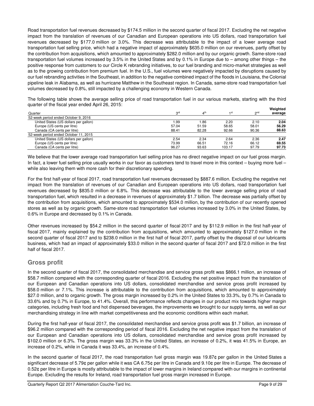Road transportation fuel revenues decreased by \$174.5 million in the second quarter of fiscal 2017. Excluding the net negative impact from the translation of revenues of our Canadian and European operations into US dollars, road transportation fuel revenues decreased by \$177.0 million or 3.0%. This decrease was attributable to the impact of a lower average road transportation fuel selling price, which had a negative impact of approximately \$635.0 million on our revenues, partly offset by the contribution from acquisitions, which amounted to approximately \$282.0 million and by our organic growth. Same-store road transportation fuel volumes increased by 3.5% in the United States and by 0.1% in Europe due to – among other things – the positive response from customers to our Circle K rebranding initiatives, to our fuel branding and micro-market strategies as well as to the growing contribution from premium fuel. In the U.S., fuel volumes were negatively impacted by disruptions caused by our fuel rebranding activities in the Southeast, in addition to the negative combined impact of the floods in Louisiana, the Colonial pipeline leak in Alabama, as well as hurricane Matthew in the Southeast region. In Canada, same-store road transportation fuel volumes decreased by 0.8%, still impacted by a challenging economy in Western Canada.

The following table shows the average selling price of road transportation fuel in our various markets, starting with the third quarter of the fiscal year ended April 26, 2015: **Weighted** 

|                                       |                 |                          |        |                 | weignted |
|---------------------------------------|-----------------|--------------------------|--------|-----------------|----------|
| Quarter                               | 3 <sup>rd</sup> | $\mathbf{A}^{\text{th}}$ | 1 st   | 2 <sub>nd</sub> | average  |
| 52-week period ended October 9, 2016  |                 |                          |        |                 |          |
| United States (US dollars per gallon) | 99. ا           | 1.86                     | 2.20   | 2.10            | 2.04     |
| Europe (US cents per litre)           | 57.04           | 51.59                    | 58.65  | 58.01           | 56.29    |
| Canada (CA cents per litre)           | 88.41           | 82.28                    | 92.66  | 90.36           | 88.63    |
| 52-week period ended October 11, 2015 |                 |                          |        |                 |          |
| United States (US dollars per gallon) | 2.54            | 2.34                     | 2.64   | 2.36            | 2.47     |
| Europe (US cents per litre)           | 73.99           | 66.51                    | 72.16  | 66.12           | 69.55    |
| Canada (CA cents per litre)           | 96.27           | 93.63                    | 103.17 | 97.79           | 97.73    |

We believe that the lower average road transportation fuel selling price has no direct negative impact on our fuel gross margin. In fact, a lower fuel selling price usually works in our favor as customers tend to travel more in this context – buying more fuel – while also leaving them with more cash for their discretionary spending.

For the first half-year of fiscal 2017, road transportation fuel revenues decreased by \$887.6 million. Excluding the negative net impact from the translation of revenues of our Canadian and European operations into US dollars, road transportation fuel revenues decreased by \$835.0 million or 6.8%. This decrease was attributable to the lower average selling price of road transportation fuel, which resulted in a decrease in revenues of approximately \$1.7 billion. The decrease was partially offset by the contribution from acquisitions, which amounted to approximately \$534.0 million, by the contribution of our recently opened stores as well as by organic growth. Same-store road transportation fuel volumes increased by 3.0% in the United States, by 0.6% in Europe and decreased by 0.1% in Canada.

Other revenues increased by \$54.2 million in the second quarter of fiscal 2017 and by \$112.9 million in the first half-year of fiscal 2017, mainly explained by the contribution from acquisitions, which amounted to approximately \$127.0 million in the second quarter of fiscal 2017 and to \$238.0 million in the first half of fiscal 2017, partly offset by the disposal of our lubricants business, which had an impact of approximately \$33.0 million in the second quarter of fiscal 2017 and \$72.0 million in the first half of fiscal 2017.

## **Gross profit**

In the second quarter of fiscal 2017, the consolidated merchandise and service gross profit was \$866.1 million, an increase of \$58.7 million compared with the corresponding quarter of fiscal 2016. Excluding the net positive impact from the translation of our European and Canadian operations into US dollars, consolidated merchandise and service gross profit increased by \$58.0 million or 7.1%. This increase is attributable to the contribution from acquisitions, which amounted to approximately \$27.0 million, and to organic growth. The gross margin increased by 0.2% in the United States to 33.3%, by 0.7% in Canada to 33.6% and by 0.7% in Europe, to 41.4%. Overall, this performance reflects changes in our product mix towards higher margin categories, including fresh food and hot dispensed beverages, the improvements we brought to our supply terms, as well as our merchandising strategy in line with market competitiveness and the economic conditions within each market.

During the first half-year of fiscal 2017, the consolidated merchandise and service gross profit was \$1.7 billion, an increase of \$96.2 million compared with the corresponding period of fiscal 2016. Excluding the net negative impact from the translation of our European and Canadian operations into US dollars, consolidated merchandise and service gross profit increased by \$102.0 million or 6.3%. The gross margin was 33.3% in the United States, an increase of 0.2%, it was 41.5% in Europe, an increase of 0.2%, while in Canada it was 33.4%, an increase of 0.4%.

In the second quarter of fiscal 2017, the road transportation fuel gross margin was 19.87¢ per gallon in the United States a significant decrease of 5.79¢ per gallon while it was CA 6.75¢ per litre in Canada and 9.10¢ per litre in Europe. The decrease of 0.52¢ per litre in Europe is mostly attributable to the impact of lower margins in Ireland compared with our margins in continental Europe. Excluding the results for Ireland, road transportation fuel gross margin increased in Europe.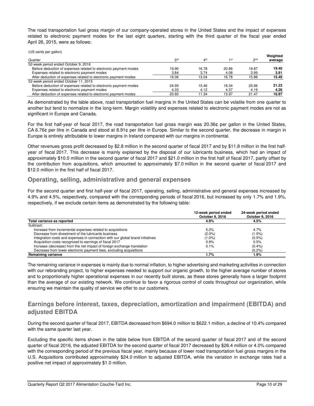The road transportation fuel gross margin of our company-operated stores in the United States and the impact of expenses related to electronic payment modes for the last eight quarters, starting with the third quarter of the fiscal year ended April 26, 2015, were as follows:

(US cents per gallon)

|                                                                  |                 |                 |       |                 | Weighted |
|------------------------------------------------------------------|-----------------|-----------------|-------|-----------------|----------|
| Quarter                                                          | 3 <sup>rd</sup> | 4 <sup>th</sup> | 1st   | 2 <sub>nd</sub> | average  |
| 52-week period ended October 9, 2016                             |                 |                 |       |                 |          |
| Before deduction of expenses related to electronic payment modes | 19.90           | 16.78           | 20.86 | 19.87           | 19.40    |
| Expenses related to electronic payment modes                     | 3.84            | 3.74            | 4.08  | 3.99            | 3.91     |
| After deduction of expenses related to electronic payment modes  | 16.06           | 13.04           | 16.78 | 15.88           | 15.49    |
| 52-week period ended October 11, 2015                            |                 |                 |       |                 |          |
| Before deduction of expenses related to electronic payment modes | 24.93           | 15.46           | 18.34 | 25.66           | 21.23    |
| Expenses related to electronic payment modes                     | 4.33            | 4.12            | 4.37  | 4.19            | 4.26     |
| After deduction of expenses related to electronic payment modes  | 20.60           | 11.34           | 13.97 | 21.47           | 16.97    |

As demonstrated by the table above, road transportation fuel margins in the United States can be volatile from one quarter to another but tend to normalize in the long-term. Margin volatility and expenses related to electronic payment modes are not as significant in Europe and Canada.

For the first half-year of fiscal 2017, the road transportation fuel gross margin was 20.36¢ per gallon in the United States, CA 6.76¢ per litre in Canada and stood at 8.91¢ per litre in Europe. Similar to the second quarter, the decrease in margin in Europe is entirely attributable to lower margins in Ireland compared with our margins in continental.

Other revenues gross profit decreased by \$2.8 million in the second quarter of fiscal 2017 and by \$11.8 million in the first halfyear of fiscal 2017. This decrease is mainly explained by the disposal of our lubricants business, which had an impact of approximately \$10.0 million in the second quarter of fiscal 2017 and \$21.0 million in the first half of fiscal 2017, partly offset by the contribution from acquisitions, which amounted to approximately \$7.0 million in the second quarter of fiscal 2017 and \$12.0 million in the first half of fiscal 2017.

## **Operating, selling, administrative and general expenses**

For the second quarter and first half-year of fiscal 2017, operating, selling, administrative and general expenses increased by 4.9% and 4.5%, respectively, compared with the corresponding periods of fiscal 2016, but increased by only 1.7% and 1.9%, respectively, if we exclude certain items as demonstrated by the following table:

|                                                                                | 12-week period ended<br>October 9, 2016 | 24-week period ended<br>October 9, 2016 |
|--------------------------------------------------------------------------------|-----------------------------------------|-----------------------------------------|
| Total variance as reported                                                     | 4.9%                                    | 4.5%                                    |
| Subtract:                                                                      |                                         |                                         |
| Increase from incremental expenses related to acquisitions                     | 5.2%                                    | 4.7%                                    |
| Decrease from divestment of the lubricants business                            | (2.0%                                   | (1.5%)                                  |
| Integration costs and expenses in connection with our global brand initiatives | $(1.0\%)$                               | $(0.5\%)$                               |
| Acquisition costs recognized to earnings of fiscal 2017                        | 0.9%                                    | 0.5%                                    |
| Increase (decrease) from the net impact of foreign exchange translation        | 0.1%                                    | (0.4%                                   |
| Decrease from lower electronic payment fees, excluding acquisitions            | . .                                     | (0.2%                                   |
| Remaining variance                                                             | 1.7%                                    | 1.9%                                    |

The remaining variance in expenses is mainly due to normal inflation, to higher advertising and marketing activities in connection with our rebranding project, to higher expenses needed to support our organic growth, to the higher average number of stores and to proportionally higher operational expenses in our recently built stores, as these stores generally have a larger footprint than the average of our existing network. We continue to favor a rigorous control of costs throughout our organization, while ensuring we maintain the quality of service we offer to our customers.

## **Earnings before interest, taxes, depreciation, amortization and impairment (EBITDA) and adjusted EBITDA**

During the second quarter of fiscal 2017, EBITDA decreased from \$694.0 million to \$622.1 million, a decline of 10.4% compared with the same quarter last year.

Excluding the specific items shown in the table below from EBITDA of the second quarter of fiscal 2017 and of the second quarter of fiscal 2016, the adjusted EBITDA for the second quarter of fiscal 2017 decreased by \$26.4 million or 4.0% compared with the corresponding period of the previous fiscal year, mainly because of lower road transportation fuel gross margins in the U.S. Acquisitions contributed approximately \$24.0 million to adjusted EBITDA, while the variation in exchange rates had a positive net impact of approximately \$1.0 million.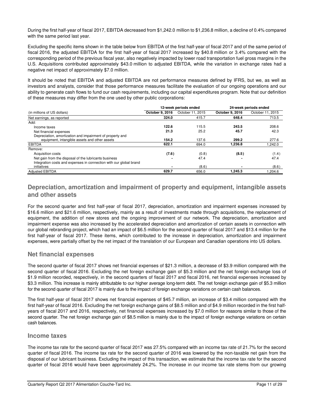During the first half-year of fiscal 2017, EBITDA decreased from \$1,242.0 million to \$1,236.8 million, a decline of 0.4% compared with the same period last year.

Excluding the specific items shown in the table below from EBITDA of the first half-year of fiscal 2017 and of the same period of fiscal 2016, the adjusted EBITDA for the first half-year of fiscal 2017 increased by \$40.8 million or 3.4% compared with the corresponding period of the previous fiscal year, also negatively impacted by lower road transportation fuel gross margins in the U.S. Acquisitions contributed approximately \$43.0 million to adjusted EBITDA, while the variation in exchange rates had a negative net impact of approximately \$7.0 million.

It should be noted that EBITDA and adjusted EBITDA are not performance measures defined by IFRS, but we, as well as investors and analysts, consider that those performance measures facilitate the evaluation of our ongoing operations and our ability to generate cash flows to fund our cash requirements, including our capital expenditures program. Note that our definition of these measures may differ from the one used by other public corporations:

|                                                                    |                 | 12-week periods ended | 24-week periods ended |                  |  |
|--------------------------------------------------------------------|-----------------|-----------------------|-----------------------|------------------|--|
| (in millions of US dollars)                                        | October 9, 2016 | October 11, 2015      | October 9, 2016       | October 11, 2015 |  |
| Net earnings, as reported                                          | 324.0           | 415.7                 | 648.4                 | 713.5            |  |
| Add:                                                               |                 |                       |                       |                  |  |
| Income taxes                                                       | 122.6           | 115.5                 | 243.5                 | 208.6            |  |
| Net financial expenses                                             | 21.3            | 25.2                  | 45.7                  | 42.3             |  |
| Depreciation, amortization and impairment of property and          |                 |                       |                       |                  |  |
| equipment, intangible assets and other assets                      | 154.2           | 137.6                 | 299.2                 | 277.6            |  |
| <b>EBITDA</b>                                                      | 622.1           | 694.0                 | 1,236.8               | .242.0           |  |
| Remove:                                                            |                 |                       |                       |                  |  |
| Acquisition costs                                                  | (7.6)           | (0.8)                 | (8.5)                 | (1.4)            |  |
| Net gain from the disposal of the lubricants business              |                 | 47.4                  |                       | 47.4             |  |
| Integration costs and expenses in connection with our global brand |                 |                       |                       |                  |  |
| initiatives                                                        |                 | (8.6)                 |                       | (8.6)            |  |
| <b>Adjusted EBITDA</b>                                             | 629.7           | 656.0                 | 1,245.3               | 1,204.6          |  |

## **Depreciation, amortization and impairment of property and equipment, intangible assets and other assets**

For the second quarter and first half-year of fiscal 2017, depreciation, amortization and impairment expenses increased by \$16.6 million and \$21.6 million, respectively, mainly as a result of investments made through acquisitions, the replacement of equipment, the addition of new stores and the ongoing improvement of our network. The depreciation, amortization and impairment expense was also increased by the accelerated depreciation and amortization of certain assets in connection with our global rebranding project, which had an impact of \$6.5 million for the second quarter of fiscal 2017 and \$13.4 million for the first half-year of fiscal 2017. These items, which contributed to the increase in depreciation, amortization and impairment expenses, were partially offset by the net impact of the translation of our European and Canadian operations into US dollars.

## **Net financial expenses**

The second quarter of fiscal 2017 shows net financial expenses of \$21.3 million, a decrease of \$3.9 million compared with the second quarter of fiscal 2016. Excluding the net foreign exchange gain of \$5.3 million and the net foreign exchange loss of \$1.9 million recorded, respectively, in the second quarters of fiscal 2017 and fiscal 2016, net financial expenses increased by \$3.3 million. This increase is mainly attributable to our higher average long-term debt. The net foreign exchange gain of \$5.3 million for the second quarter of fiscal 2017 is mainly due to the impact of foreign exchange variations on certain cash balances.

The first half-year of fiscal 2017 shows net financial expenses of \$45.7 million, an increase of \$3.4 million compared with the first half-year of fiscal 2016. Excluding the net foreign exchange gains of \$8.5 million and of \$4.9 million recorded in the first halfyears of fiscal 2017 and 2016, respectively, net financial expenses increased by \$7.0 million for reasons similar to those of the second quarter. The net foreign exchange gain of \$8.5 million is mainly due to the impact of foreign exchange variations on certain cash balances.

## **Income taxes**

The income tax rate for the second quarter of fiscal 2017 was 27.5% compared with an income tax rate of 21.7% for the second quarter of fiscal 2016. The income tax rate for the second quarter of 2016 was lowered by the non-taxable net gain from the disposal of our lubricant business. Excluding the impact of this transaction, we estimate that the income tax rate for the second quarter of fiscal 2016 would have been approximately 24.2%. The increase in our income tax rate stems from our growing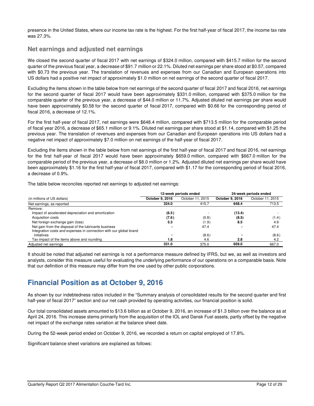presence in the United States, where our income tax rate is the highest. For the first half-year of fiscal 2017, the income tax rate was 27.3%.

## **Net earnings and adjusted net earnings**

We closed the second quarter of fiscal 2017 with net earnings of \$324.0 million, compared with \$415.7 million for the second quarter of the previous fiscal year, a decrease of \$91.7 million or 22.1%. Diluted net earnings per share stood at \$0.57, compared with \$0.73 the previous year. The translation of revenues and expenses from our Canadian and European operations into US dollars had a positive net impact of approximately \$1.0 million on net earnings of the second quarter of fiscal 2017.

Excluding the items shown in the table below from net earnings of the second quarter of fiscal 2017 and fiscal 2016, net earnings for the second quarter of fiscal 2017 would have been approximately \$331.0 million, compared with \$375.0 million for the comparable quarter of the previous year, a decrease of \$44.0 million or 11.7%. Adjusted diluted net earnings per share would have been approximately \$0.58 for the second quarter of fiscal 2017, compared with \$0.66 for the corresponding period of fiscal 2016, a decrease of 12.1%.

For the first half-year of fiscal 2017, net earnings were \$648.4 million, compared with \$713.5 million for the comparable period of fiscal year 2016, a decrease of \$65.1 million or 9.1%. Diluted net earnings per share stood at \$1.14, compared with \$1.25 the previous year. The translation of revenues and expenses from our Canadian and European operations into US dollars had a negative net impact of approximately \$7.0 million on net earnings of the half-year of fiscal 2017.

Excluding the items shown in the table below from net earnings of the first half-year of fiscal 2017 and fiscal 2016, net earnings for the first half-year of fiscal 2017 would have been approximately \$659.0 million, compared with \$667.0 million for the comparable period of the previous year, a decrease of \$8.0 million or 1.2%. Adjusted diluted net earnings per share would have been approximately \$1.16 for the first half-year of fiscal 2017, compared with \$1.17 for the corresponding period of fiscal 2016, a decrease of 0.9%.

The table below reconciles reported net earnings to adjusted net earnings:

|                                                                    |                 | 12-week periods ended | 24-week periods ended |                  |  |
|--------------------------------------------------------------------|-----------------|-----------------------|-----------------------|------------------|--|
| (in millions of US dollars)                                        | October 9, 2016 | October 11, 2015      | October 9, 2016       | October 11, 2015 |  |
| Net earnings, as reported                                          | 324.0           | 415.7                 | 648.4                 | 713.5            |  |
| Remove:                                                            |                 |                       |                       |                  |  |
| Impact of accelerated depreciation and amortization                | (6.5)           |                       | (13.4)                |                  |  |
| Acquisition costs                                                  | (7.6)           | (0.8)                 | (8.5)                 | (1.4)            |  |
| Net foreign exchange gain (loss)                                   | 5.3             | (1.9)                 | 8.5                   | 4.9              |  |
| Net gain from the disposal of the lubricants business              |                 | 47.4                  |                       | 47.4             |  |
| Integration costs and expenses in connection with our global brand |                 |                       |                       |                  |  |
| initiatives                                                        |                 | (8.6)                 |                       | (8.6)            |  |
| Tax impact of the items above and rounding                         | 1.8             | 4.6                   | 2.8                   | 4.2              |  |
| Adjusted net earnings                                              | 331.0           | 375.0                 | 659.0                 | 667.0            |  |

It should be noted that adjusted net earnings is not a performance measure defined by IFRS, but we, as well as investors and analysts, consider this measure useful for evaluating the underlying performance of our operations on a comparable basis. Note that our definition of this measure may differ from the one used by other public corporations.

# **Financial Position as at October 9, 2016**

As shown by our indebtedness ratios included in the "Summary analysis of consolidated results for the second quarter and first half-year of fiscal 2017" section and our net cash provided by operating activities, our financial position is solid.

Our total consolidated assets amounted to \$13.6 billion as at October 9, 2016, an increase of \$1.3 billion over the balance as at April 24, 2016. This increase stems primarily from the acquisition of the IOL and Dansk Fuel assets, partly offset by the negative net impact of the exchange rates variation at the balance sheet date.

During the 52-week period ended on October 9, 2016, we recorded a return on capital employed of 17.8%.

Significant balance sheet variations are explained as follows: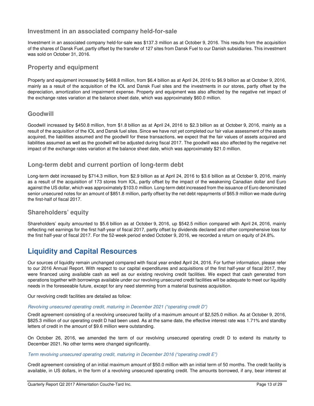## **Investment in an associated company held-for-sale**

Investment in an associated company held-for-sale was \$137.3 million as at October 9, 2016. This results from the acquisition of the shares of Dansk Fuel, partly offset by the transfer of 127 sites from Dansk Fuel to our Danish subsidiaries. This investment was sold on October 31, 2016.

## **Property and equipment**

Property and equipment increased by \$468.8 million, from \$6.4 billion as at April 24, 2016 to \$6.9 billion as at October 9, 2016, mainly as a result of the acquisition of the IOL and Dansk Fuel sites and the investments in our stores, partly offset by the depreciation, amortization and impairment expense. Property and equipment was also affected by the negative net impact of the exchange rates variation at the balance sheet date, which was approximately \$60.0 million.

## **Goodwill**

Goodwill increased by \$450.8 million, from \$1.8 billion as at April 24, 2016 to \$2.3 billion as at October 9, 2016, mainly as a result of the acquisition of the IOL and Dansk fuel sites. Since we have not yet completed our fair value assessment of the assets acquired, the liabilities assumed and the goodwill for these transactions, we expect that the fair values of assets acquired and liabilities assumed as well as the goodwill will be adjusted during fiscal 2017. The goodwill was also affected by the negative net impact of the exchange rates variation at the balance sheet date, which was approximately \$21.0 million.

## **Long-term debt and current portion of long-term debt**

Long-term debt increased by \$714.3 million, from \$2.9 billion as at April 24, 2016 to \$3.6 billion as at October 9, 2016, mainly as a result of the acquisition of 173 stores from IOL, partly offset by the impact of the weakening Canadian dollar and Euro against the US dollar, which was approximately \$103.0 million. Long-term debt increased from the issuance of Euro denominated senior unsecured notes for an amount of \$851.8 million, partly offset by the net debt repayments of \$65.9 million we made during the first-half of fiscal 2017.

## **Shareholders' equity**

Shareholders' equity amounted to \$5.6 billion as at October 9, 2016, up \$542.5 million compared with April 24, 2016, mainly reflecting net earnings for the first half-year of fiscal 2017, partly offset by dividends declared and other comprehensive loss for the first half-year of fiscal 2017. For the 52-week period ended October 9, 2016, we recorded a return on equity of 24.8%.

# **Liquidity and Capital Resources**

Our sources of liquidity remain unchanged compared with fiscal year ended April 24, 2016. For further information, please refer to our 2016 Annual Report. With respect to our capital expenditures and acquisitions of the first half-year of fiscal 2017, they were financed using available cash as well as our existing revolving credit facilities. We expect that cash generated from operations together with borrowings available under our revolving unsecured credit facilities will be adequate to meet our liquidity needs in the foreseeable future, except for any need stemming from a material business acquisition.

Our revolving credit facilities are detailed as follow:

## Revolving unsecured operating credit, maturing in December 2021 ("operating credit D")

Credit agreement consisting of a revolving unsecured facility of a maximum amount of \$2,525.0 million. As at October 9, 2016, \$825.3 million of our operating credit D had been used. As at the same date, the effective interest rate was 1.71% and standby letters of credit in the amount of \$9.6 million were outstanding.

On October 26, 2016, we amended the term of our revolving unsecured operating credit D to extend its maturity to December 2021. No other terms were changed significantly.

### Term revolving unsecured operating credit, maturing in December 2016 ("operating credit E")

Credit agreement consisting of an initial maximum amount of \$50.0 million with an initial term of 50 months. The credit facility is available, in US dollars, in the form of a revolving unsecured operating credit. The amounts borrowed, if any, bear interest at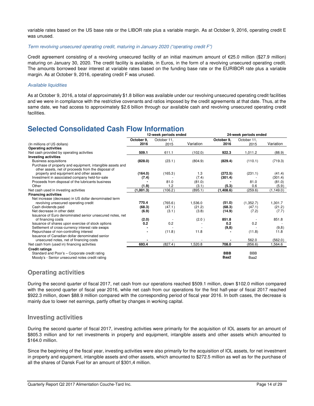variable rates based on the US base rate or the LIBOR rate plus a variable margin. As at October 9, 2016, operating credit E was unused.

#### Term revolving unsecured operating credit, maturing in January 2020 ("operating credit F")

Credit agreement consisting of a revolving unsecured facility of an initial maximum amount of €25.0 million (\$27.9 million) maturing on January 30, 2020. The credit facility is available, in Euros, in the form of a revolving unsecured operating credit. The amounts borrowed bear interest at variable rates based on the funding base rate or the EURIBOR rate plus a variable margin. As at October 9, 2016, operating credit F was unused.

### Available liquidities

As at October 9, 2016, a total of approximately \$1.8 billion was available under our revolving unsecured operating credit facilities and we were in compliance with the restrictive covenants and ratios imposed by the credit agreements at that date. Thus, at the same date, we had access to approximately \$2.6 billion through our available cash and revolving unsecured operating credit facilities.

# **Selected Consolidated Cash Flow Information**

|                                                                                                                 | 12-week periods ended |             |           | 24-week periods ended |             |            |  |
|-----------------------------------------------------------------------------------------------------------------|-----------------------|-------------|-----------|-----------------------|-------------|------------|--|
|                                                                                                                 | October 9.            | October 11, |           | October 9,            | October 11, |            |  |
| (In millions of US dollars)                                                                                     | 2016                  | 2015        | Variation | 2016                  | 2015        | Variation  |  |
| <b>Operating activities</b>                                                                                     |                       |             |           |                       |             |            |  |
| Net cash provided by operating activities                                                                       | 509.1                 | 611.1       | (102.0)   | 922.3                 | 1,011.2     | (88.9)     |  |
| <b>Investing activities</b>                                                                                     |                       |             |           |                       |             |            |  |
| <b>Business acquisitions</b>                                                                                    | (828.0)               | (23.1)      | (804.9)   | (829.4)               | (110.1)     | (719.3)    |  |
| Purchase of property and equipment, intangible assets and<br>other assets, net of proceeds from the disposal of |                       |             |           |                       |             |            |  |
| property and equipment and other assets                                                                         | (164.0)               | (165.3)     | 1.3       | (272.5)               | (231.1)     | (41.4)     |  |
| Investment in associated company held-for-sale                                                                  | (7.4)                 |             | (7.4)     | (301.4)               |             | (301.4)    |  |
| Proceeds from disposal of the lubricants business                                                               |                       | 81.0        | (81.0)    |                       | 81.0        | (81.0)     |  |
| Other                                                                                                           | (1.9)                 | 1.2         | (3.1)     | (5.3)                 | 0.6         | (5.9)      |  |
| Net cash used in investing activities                                                                           | (1,001.3)             | (106.2)     | (895.1)   | (1,408.6)             | (259.6)     | (1, 149.0) |  |
| <b>Financing activities</b>                                                                                     |                       |             |           |                       |             |            |  |
| Net increase (decrease) in US dollar denominated term                                                           |                       |             |           |                       |             |            |  |
| revolving unsecured operating credit                                                                            | 770.4                 | (765.6)     | 1,536.0   | (51.0)                | (1,352.7)   | 1,301.7    |  |
| Cash dividends paid                                                                                             | (68.3)                | (47.1)      | (21.2)    | (68.3)                | (47.1)      | (21.2)     |  |
| Net decrease in other debt                                                                                      | (6.9)                 | (3.1)       | (3.8)     | (14.9)                | (7.2)       | (7.7)      |  |
| Issuance of Euro denominated senior unsecured notes, net                                                        |                       |             |           |                       |             |            |  |
| of financing costs                                                                                              | (2.0)                 |             | (2.0)     | 851.8                 | $\sim$      | 851.8      |  |
| Issuance of shares upon exercise of stock options                                                               | 0.2                   | 0.2         |           | 0.2                   | 0.2         |            |  |
| Settlement of cross-currency interest rate swaps                                                                |                       |             |           | (9,8)                 |             | (9,8)      |  |
| Repurchase of non-controlling interest                                                                          |                       | (11.8)      | 11.8      |                       | (11.8)      | 11.8       |  |
| Issuance of Canadian dollar denominated senior                                                                  |                       |             |           |                       |             |            |  |
| unsecured notes, net of financing costs                                                                         |                       |             |           |                       | 562.0       | (562.0)    |  |
| Net cash from (used in) financing activities                                                                    | 693.4                 | (827.4)     | 1,520.8   | 708.0                 | (856.6)     | 1,564.6    |  |
| <b>Credit ratings</b>                                                                                           |                       |             |           |                       |             |            |  |
| Standard and Poor's - Corporate credit rating                                                                   |                       |             |           | <b>BBB</b>            | <b>BBB</b>  |            |  |
| Moody's - Senior unsecured notes credit rating                                                                  |                       |             |           | Baa2                  | Baa2        |            |  |

## **Operating activities**

During the second quarter of fiscal 2017, net cash from our operations reached \$509.1 million, down \$102.0 million compared with the second quarter of fiscal year 2016, while net cash from our operations for the first half-year of fiscal 2017 reached \$922.3 million, down \$88.9 million compared with the corresponding period of fiscal year 2016. In both cases, the decrease is mainly due to lower net earnings, partly offset by changes in working capital.

## **Investing activities**

During the second quarter of fiscal 2017, investing activities were primarily for the acquisition of IOL assets for an amount of \$805.3 million and for net investments in property and equipment, intangible assets and other assets which amounted to \$164.0 million.

Since the beginning of the fiscal year, investing activities were also primarily for the acquisition of IOL assets, for net investment in property and equipment, intangible assets and other assets, which amounted to \$272.5 million as well as for the purchase of all the shares of Dansk Fuel for an amount of \$301,4 million.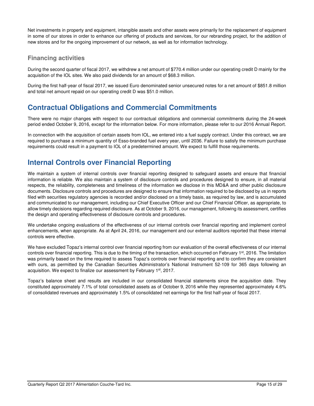Net investments in property and equipment, intangible assets and other assets were primarily for the replacement of equipment in some of our stores in order to enhance our offering of products and services, for our rebranding project, for the addition of new stores and for the ongoing improvement of our network, as well as for information technology.

## **Financing activities**

During the second quarter of fiscal 2017, we withdrew a net amount of \$770.4 million under our operating credit D mainly for the acquisition of the IOL sites. We also paid dividends for an amount of \$68.3 million.

During the first half-year of fiscal 2017, we issued Euro denominated senior unsecured notes for a net amount of \$851.8 million and total net amount repaid on our operating credit D was \$51.0 million.

# **Contractual Obligations and Commercial Commitments**

There were no major changes with respect to our contractual obligations and commercial commitments during the 24-week period ended October 9, 2016, except for the information below. For more information, please refer to our 2016 Annual Report.

In connection with the acquisition of certain assets from IOL, we entered into a fuel supply contract. Under this contract, we are required to purchase a minimum quantity of Esso-branded fuel every year, until 2036. Failure to satisfy the minimum purchase requirements could result in a payment to IOL of a predetermined amount. We expect to fulfill those requirements.

# **Internal Controls over Financial Reporting**

We maintain a system of internal controls over financial reporting designed to safeguard assets and ensure that financial information is reliable. We also maintain a system of disclosure controls and procedures designed to ensure, in all material respects, the reliability, completeness and timeliness of the information we disclose in this MD&A and other public disclosure documents. Disclosure controls and procedures are designed to ensure that information required to be disclosed by us in reports filed with securities regulatory agencies is recorded and/or disclosed on a timely basis, as required by law, and is accumulated and communicated to our management, including our Chief Executive Officer and our Chief Financial Officer, as appropriate, to allow timely decisions regarding required disclosure. As at October 9, 2016, our management, following its assessment, certifies the design and operating effectiveness of disclosure controls and procedures.

We undertake ongoing evaluations of the effectiveness of our internal controls over financial reporting and implement control enhancements, when appropriate. As at April 24, 2016, our management and our external auditors reported that these internal controls were effective.

We have excluded Topaz's internal control over financial reporting from our evaluation of the overall effectiveness of our internal controls over financial reporting. This is due to the timing of the transaction, which occurred on February 1<sup>st</sup>, 2016. The limitation was primarily based on the time required to assess Topaz's controls over financial reporting and to confirm they are consistent with ours, as permitted by the Canadian Securities Administrator's National Instrument 52-109 for 365 days following an acquisition. We expect to finalize our assessment by February 1<sup>st</sup>, 2017.

Topaz's balance sheet and results are included in our consolidated financial statements since the acquisition date. They constituted approximately 7.1% of total consolidated assets as of October 9, 2016 while they represented approximately 4.6% of consolidated revenues and approximately 1.5% of consolidated net earnings for the first half-year of fiscal 2017.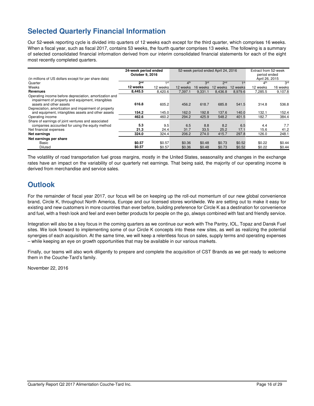# **Selected Quarterly Financial Information**

Our 52-week reporting cycle is divided into quarters of 12 weeks each except for the third quarter, which comprises 16 weeks. When a fiscal year, such as fiscal 2017, contains 53 weeks, the fourth quarter comprises 13 weeks. The following is a summary of selected consolidated financial information derived from our interim consolidated financial statements for each of the eight most recently completed quarters.

|                                                                                                                                                 | 24-week period ended<br>October 9, 2016 |                      | 52-week period ended April 24, 2016 |                      |                      |                      | Extract from 52-week<br>period ended |                      |
|-------------------------------------------------------------------------------------------------------------------------------------------------|-----------------------------------------|----------------------|-------------------------------------|----------------------|----------------------|----------------------|--------------------------------------|----------------------|
| (in millions of US dollars except for per share data)                                                                                           |                                         |                      |                                     |                      |                      |                      | April 26, 2015                       |                      |
| Quarter                                                                                                                                         | 2 <sub>nd</sub>                         | $\triangleleft$ st   | 4 <sup>th</sup>                     | 3 <sup>rd</sup>      | 2 <sub>nd</sub>      | $\mathbf 1$ st       | 4 <sup>th</sup>                      | 3 <sup>rd</sup>      |
| Weeks                                                                                                                                           | 12 weeks                                | 12 weeks             | 12 weeks                            | 16 weeks             | 12 weeks             | 12 weeks             | 12 weeks                             | 16 weeks             |
| <b>Revenues</b>                                                                                                                                 | 8,445.5                                 | 8,420.6              | 7,397.1                             | 9,331.1              | 8,436.8              | 8.979.6              | 7,285.5                              | 9,107.8              |
| Operating income before depreciation, amortization and<br>impairment of property and equipment, intangibles<br>assets and other assets          | 616.8                                   | 605.2                | 456.2                               | 618.7                | 685.8                | 541.5                | 314.8                                | 536.8                |
| Depreciation, amortization and impairment of property<br>and equipment, intangibles assets and other assets                                     | 154.2                                   | 145.0                | 162.0                               | 192.8                | 137.6                | 140.0                | 132.1                                | 152.4                |
| Operating income                                                                                                                                | 462.6                                   | 460.2                | 294.2                               | 425.9                | 548.2                | 401.5                | 182.7                                | 384.4                |
| Share of earnings of joint ventures and associated<br>companies accounted for using the equity method<br>Net financial expenses<br>Net earnings | 5.3<br>21.3<br>324.0                    | 9.5<br>24.4<br>324.4 | 6.5<br>31.7<br>206.2                | 8.8<br>33.5<br>274.0 | 8.2<br>25.2<br>415.7 | 6.5<br>17.1<br>297.8 | 4.4<br>15.6<br>126.0                 | 7.7<br>41.2<br>248.1 |
| Net earnings per share                                                                                                                          |                                         |                      |                                     |                      |                      |                      |                                      |                      |
| Basic<br><b>Diluted</b>                                                                                                                         | \$0.57<br>\$0.57                        | \$0.57<br>\$0.57     | \$0.36<br>\$0.36                    | \$0.48<br>\$0.48     | \$0.73<br>\$0.73     | \$0.52<br>\$0.52     | \$0.22<br>\$0.22                     | \$0.44<br>\$0.44     |

The volatility of road transportation fuel gross margins, mostly in the United States, seasonality and changes in the exchange rates have an impact on the variability of our quarterly net earnings. That being said, the majority of our operating income is derived from merchandise and service sales.

# **Outlook**

For the remainder of fiscal year 2017, our focus will be on keeping up the roll-out momentum of our new global convenience brand, Circle K, throughout North America, Europe and our licensed stores worldwide. We are setting out to make it easy for existing and new customers in more countries than ever before, building preference for Circle K as a destination for convenience and fuel, with a fresh look and feel and even better products for people on the go, always combined with fast and friendly service.

Integration will also be a key focus in the coming quarters as we continue our work with The Pantry, IOL, Topaz and Dansk Fuel sites. We look forward to implementing some of our Circle K concepts into these new sites, as well as realizing the potential synergies of each acquisition. At the same time, we will keep a relentless focus on sales, supply terms and operating expenses – while keeping an eye on growth opportunities that may be available in our various markets.

Finally, our teams will also work diligently to prepare and complete the acquisition of CST Brands as we get ready to welcome them in the Couche-Tard's family.

November 22, 2016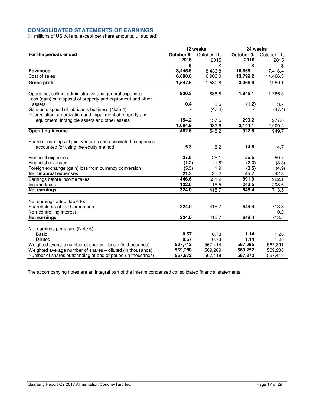## **CONSOLIDATED STATEMENTS OF EARNINGS**

(in millions of US dollars, except per share amounts, unaudited)

|                                                                                                                        | 12 weeks   |             | 24 weeks   |             |  |
|------------------------------------------------------------------------------------------------------------------------|------------|-------------|------------|-------------|--|
| For the periods ended                                                                                                  | October 9, | October 11, | October 9, | October 11, |  |
|                                                                                                                        | 2016       | 2015        | 2016       | 2015        |  |
|                                                                                                                        | \$         | \$          | \$         | \$          |  |
| <b>Revenues</b>                                                                                                        | 8,445.5    | 8,436.8     | 16,866.1   | 17,416.4    |  |
| Cost of sales                                                                                                          | 6,898.0    | 6,906.0     | 13,799.2   | 14,466.3    |  |
| <b>Gross profit</b>                                                                                                    | 1,547.5    | 1,530.8     | 3,066.9    | 2,950.1     |  |
| Operating, selling, administrative and general expenses<br>Loss (gain) on disposal of property and equipment and other | 930.3      | 886.8       | 1,846.1    | 1,766.5     |  |
| assets                                                                                                                 | 0.4        | 5.6         | (1.2)      | 3.7         |  |
| Gain on disposal of lubricants business (Note 4)<br>Depreciation, amortization and impairment of property and          |            | (47.4)      |            | (47.4)      |  |
| equipment, intangible assets and other assets                                                                          | 154.2      | 137.6       | 299.2      | 277.6       |  |
|                                                                                                                        | 1,084.9    | 982.6       | 2,144.1    | 2,000.4     |  |
| <b>Operating income</b>                                                                                                | 462.6      | 548.2       | 922.8      | 949.7       |  |
| Share of earnings of joint ventures and associated companies                                                           |            |             |            |             |  |
| accounted for using the equity method                                                                                  | 5.3        | 8.2         | 14.8       | 14.7        |  |
| Financial expenses                                                                                                     | 27.8       | 25.1        | 56.5       | 50.7        |  |
| Financial revenues                                                                                                     | (1.2)      | (1.8)       | (2.3)      | (3.5)       |  |
| Foreign exchange (gain) loss from currency conversion                                                                  | (5.3)      | 1.9         | (8.5)      | (4.9)       |  |
| <b>Net financial expenses</b>                                                                                          | 21.3       | 25.2        | 45.7       | 42.3        |  |
| Earnings before income taxes                                                                                           | 446.6      | 531.2       | 891.9      | 922.1       |  |
| Income taxes                                                                                                           | 122.6      | 115.5       | 243.5      | 208.6       |  |
| <b>Net earnings</b>                                                                                                    | 324.0      | 415.7       | 648.4      | 713.5       |  |
| Net earnings attributable to:                                                                                          |            |             |            |             |  |
| Shareholders of the Corporation                                                                                        | 324.0      | 415.7       | 648.4      | 713.3       |  |
| Non-controlling interest                                                                                               |            |             |            | 0.2         |  |
| <b>Net earnings</b>                                                                                                    | 324.0      | 415.7       | 648.4      | 713.5       |  |
| Net earnings per share (Note 6)                                                                                        |            |             |            |             |  |
| <b>Basic</b>                                                                                                           | 0.57       | 0.73        | 1.14       | 1.26        |  |
| <b>Diluted</b>                                                                                                         | 0.57       | 0.73        | 1.14       | 1.25        |  |
| Weighted average number of shares - basic (in thousands)                                                               | 567,712    | 567,414     | 567,695    | 567,391     |  |
| Weighted average number of shares - diluted (in thousands)                                                             | 569,288    | 569,209     | 569,252    | 569,208     |  |
| Number of shares outstanding at end of period (in thousands)                                                           | 567,872    | 567,418     | 567,872    | 567,418     |  |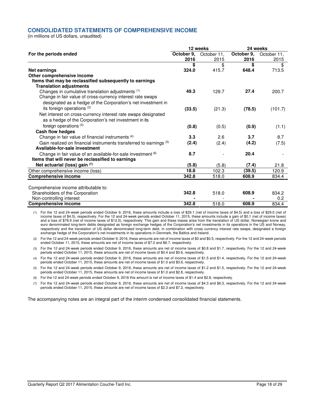## **CONSOLIDATED STATEMENTS OF COMPREHENSIVE INCOME**

(in millions of US dollars, unaudited)

|                                                                    | 12 weeks   |             | 24 weeks   |             |  |
|--------------------------------------------------------------------|------------|-------------|------------|-------------|--|
| For the periods ended                                              | October 9, | October 11, | October 9, | October 11, |  |
|                                                                    | 2016       | 2015        | 2016       | 2015        |  |
|                                                                    | \$         | \$          | \$         | \$          |  |
| <b>Net earnings</b>                                                | 324.0      | 415.7       | 648.4      | 713.5       |  |
| Other comprehensive income                                         |            |             |            |             |  |
| Items that may be reclassified subsequently to earnings            |            |             |            |             |  |
| <b>Translation adjustments</b>                                     |            |             |            |             |  |
| Changes in cumulative translation adjustments (1)                  | 49.3       | 129.7       | 27.4       | 200.7       |  |
| Change in fair value of cross-currency interest rate swaps         |            |             |            |             |  |
| designated as a hedge of the Corporation's net investment in       |            |             |            |             |  |
| its foreign operations (2)                                         | (33.5)     | (21.3)      | (78.5)     | (101.7)     |  |
| Net interest on cross-currency interest rate swaps designated      |            |             |            |             |  |
| as a hedge of the Corporation's net investment in its              |            |             |            |             |  |
| foreign operations <sup>(3)</sup>                                  | (0.8)      | (0.5)       | (0.9)      | (1.1)       |  |
| Cash flow hedges                                                   |            |             |            |             |  |
| Change in fair value of financial instruments (4)                  | 3.3        | 2.6         | 3.7        | 8.7         |  |
| Gain realized on financial instruments transferred to earnings (5) | (2.4)      | (2.4)       | (4.2)      | (7.5)       |  |
| Available-for-sale investment                                      |            |             |            |             |  |
| Change in fair value of an available-for-sale investment (6)       | 8.7        |             | 20.4       |             |  |
| Items that will never be reclassified to earnings                  |            |             |            |             |  |
| Net actuarial (loss) gain (7)                                      | (5.8)      | (5.8)       | (7.4)      | 21.8        |  |
| Other comprehensive income (loss)                                  | 18.8       | 102.3       | (39.5)     | 120.9       |  |
| <b>Comprehensive income</b>                                        | 342.8      | 518.0       | 608.9      | 834.4       |  |
|                                                                    |            |             |            |             |  |
| Comprehensive income attributable to:                              |            |             |            |             |  |
| Shareholders of the Corporation                                    | 342.8      | 518.0       | 608.9      | 834.2       |  |
| Non-controlling interest                                           |            |             |            | 0.2         |  |
| <b>Comprehensive income</b>                                        | 342.8      | 518.0       | 608.9      | 834.4       |  |

(1) For the 12 and 24-week periods ended October 9, 2016, these amounts include a loss of \$29.1 (net of income taxes of \$4.5) and a loss of \$29.0 (net of income taxes of \$4.5), respectively. For the 12 and 24-week periods ended October 11, 2015, these amounts include a gain of \$0.1 (net of income taxes) and a loss of \$78.9 (net of income taxes of \$12.5), respectively. This gain and these losses arise from the translation of US dollar, Norwegian krone and euro denominated long-term debts designated as foreign exchange hedges of the Corporation's net investments in its operations in the US and Norway, respectively and the translation of US dollar denominated long-term debt, in combination with cross currency interest rate swaps, designated a foreign exchange hedge of the Corporation's net investments in its operations in Denmark, the Baltics and Ireland.

(2) For the 12 and 24-week periods ended October 9, 2016, these amounts are net of income taxes of \$0 and \$0.5, respectively. For the 12 and 24-week periods ended October 11, 2015, these amounts are net of income taxes of \$7.0 and \$6.7, respectively.

(3) For the 12 and 24-week periods ended October 9, 2016, these amounts are net of income taxes of \$0.8 and \$1.7, respectively. For the 12 and 24-week periods ended October 11, 2015, these amounts are net of income taxes of \$0.4 and \$0.6, respectively.

(4) For the 12 and 24-week periods ended October 9, 2016, these amounts are net of income taxes of \$1.5 and \$1.4, respectively. For the 12 and 24-week periods ended October 11, 2015, these amounts are net of income taxes of \$1.0 and \$3.6, respectively.

(5) For the 12 and 24-week periods ended October 9, 2016, these amounts are net of income taxes of \$1.2 and \$1.5, respectively. For the 12 and 24-week periods ended October 11, 2015, these amounts are net of income taxes of \$1.0 and \$2.8, respectively.

(6) For the 12 and 24-week periods ended October 9, 2016 this amount is net of income taxes of \$1.4 and \$2.8, respectively.

(7) For the 12 and 24-week periods ended October 9, 2016, these amounts are net of income taxes of \$4.3 and \$6.3, respectively. For the 12 and 24-week periods ended October 11, 2015, these amounts are net of income taxes of \$2.3 and \$7.2, respectively.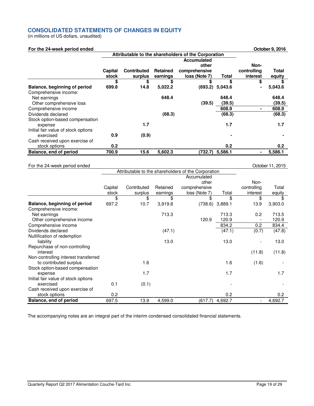## **CONSOLIDATED STATEMENTS OF CHANGES IN EQUITY**

(in millions of US dollars, unaudited)

| For the 24-week period ended |  |
|------------------------------|--|

|                                     | Attributable to the shareholders of the Corporation |                    |                 |               |                 |             |         |
|-------------------------------------|-----------------------------------------------------|--------------------|-----------------|---------------|-----------------|-------------|---------|
|                                     |                                                     |                    |                 | Accumulated   |                 |             |         |
|                                     |                                                     |                    |                 | other         |                 | Non-        |         |
|                                     | Capital                                             | <b>Contributed</b> | <b>Retained</b> | comprehensive |                 | controlling | Total   |
|                                     | stock                                               | surplus            | earnings        | loss (Note 7) | Total           | interest    | equity  |
|                                     | \$                                                  | \$                 | S               | \$            | S               | \$          |         |
| Balance, beginning of period        | 699.8                                               | 14.8               | 5,022.2         | (693.2)       | 5,043.6         |             | 5,043.6 |
| Comprehensive income:               |                                                     |                    |                 |               |                 |             |         |
| Net earnings                        |                                                     |                    | 648.4           |               | 648.4           |             | 648.4   |
| Other comprehensive loss            |                                                     |                    |                 | (39.5)        | (39.5)          |             | (39.5)  |
| Comprehensive income                |                                                     |                    |                 |               | 608.9           |             | 608.9   |
| Dividends declared                  |                                                     |                    | (68.3)          |               | (68.3)          |             | (68.3)  |
| Stock option-based compensation     |                                                     |                    |                 |               |                 |             |         |
| expense                             |                                                     | 1.7                |                 |               | 1.7             |             | 1.7     |
| Initial fair value of stock options |                                                     |                    |                 |               |                 |             |         |
| exercised                           | 0.9                                                 | (0.9)              |                 |               |                 |             |         |
| Cash received upon exercise of      |                                                     |                    |                 |               |                 |             |         |
| stock options                       | 0.2                                                 |                    |                 |               | 0.2             |             | 0.2     |
| Balance, end of period              | 700.9                                               | 15.6               | 5,602.3         |               | (732.7) 5,586.1 |             | 5,586.1 |

## For the 24-week period ended Contact Contact Contact Contact Contact Contact Contact Contact Contact Contact Contact Contact Contact Contact Contact Contact Contact Contact Contact Contact Contact Contact Contact Contact C

**For the 24-week period ended October 9, 2016**

|                                      |         | Attributable to the shareholders of the Corporation |          |               |         |             |         |
|--------------------------------------|---------|-----------------------------------------------------|----------|---------------|---------|-------------|---------|
|                                      |         |                                                     |          | Accumulated   |         |             |         |
|                                      |         |                                                     |          | other         |         | Non-        |         |
|                                      | Capital | Contributed                                         | Retained | comprehensive |         | controlling | Total   |
|                                      | stock   | surplus                                             | earnings | loss (Note 7) | Total   | interest    | equity  |
|                                      | \$      | \$                                                  | \$       | \$            | \$      | \$          | \$      |
| Balance, beginning of period         | 697.2   | 10.7                                                | 3,919.8  | (738.6)       | 3,889.1 | 13.9        | 3,903.0 |
| Comprehensive income:                |         |                                                     |          |               |         |             |         |
| Net earnings                         |         |                                                     | 713.3    |               | 713.3   | 0.2         | 713.5   |
| Other comprehensive income           |         |                                                     |          | 120.9         | 120.9   |             | 120.9   |
| Comprehensive income                 |         |                                                     |          |               | 834.2   | 0.2         | 834.4   |
| Dividends declared                   |         |                                                     | (47.1)   |               | (47.1)  | (0.7)       | (47.8)  |
| Nullification of redemption          |         |                                                     |          |               |         |             |         |
| liability                            |         |                                                     | 13.0     |               | 13.0    |             | 13.0    |
| Repurchase of non-controlling        |         |                                                     |          |               |         |             |         |
| interest                             |         |                                                     |          |               |         | (11.8)      | (11.8)  |
| Non-controlling interest transferred |         |                                                     |          |               |         |             |         |
| to contributed surplus               |         | 1.6                                                 |          |               | 1.6     | (1.6)       |         |
| Stock option-based compensation      |         |                                                     |          |               |         |             |         |
| expense                              |         | 1.7                                                 |          |               | 1.7     |             | 1.7     |
| Initial fair value of stock options  |         |                                                     |          |               |         |             |         |
| exercised                            | 0.1     | (0.1)                                               |          |               |         |             |         |
| Cash received upon exercise of       |         |                                                     |          |               |         |             |         |
| stock options                        | 0.2     |                                                     |          |               | 0.2     |             | 0.2     |
| Balance, end of period               | 697.5   | 13.9                                                | 4,599.0  | (617.7)       | 4,692.7 |             | 4,692.7 |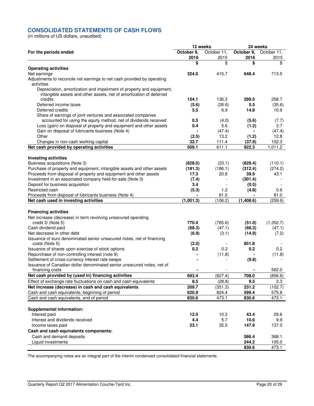## **CONSOLIDATED STATEMENTS OF CASH FLOWS**

(in millions of US dollars, unaudited)

| October 9,<br>October 11,<br>October 9.<br>October 11,<br>For the periods ended<br>2016<br>2015<br>2016<br>2015<br>\$<br>\$<br>\$<br>\$<br><b>Operating activities</b><br>Net earnings<br>324.0<br>415.7<br>648.4<br>713.5<br>Adjustments to reconcile net earnings to net cash provided by operating<br>activities<br>Depreciation, amortization and impairment of property and equipment,<br>intangible assets and other assets, net of amortization of deferred<br>credits<br>154.1<br>136.3<br>299.5<br>258.7<br>Deferred income taxes<br>5.5<br>(35.6)<br>(5.6)<br>(26.6)<br>Deferred credits<br>5.5<br>14.8<br>10.9<br>6.9<br>Share of earnings of joint ventures and associated companies<br>accounted for using the equity method, net of dividends received<br>0.5<br>(7.7)<br>(4.0)<br>(5.6)<br>Loss (gain) on disposal of property and equipment and other assets<br>5.6<br>3.7<br>0.4<br>(1.2)<br>Gain on disposal of lubricants business (Note 4)<br>(47.4)<br>(47.4)<br>Other<br>13.2<br>12.8<br>(2.5)<br>(1.2)<br>32.7<br>102.3<br>Changes in non-cash working capital<br>111.4<br>(37.9)<br>Net cash provided by operating activities<br>509.1<br>611.1<br>1,011.2<br>922.3<br><b>Investing activities</b><br>Business acquisitions (Note 3)<br>(828.0)<br>(23.1)<br>(110.1)<br>(829.4)<br>Purchase of property and equipment, intangible assets and other assets<br>(181.3)<br>(186.1)<br>(312.4)<br>(274.2)<br>Proceeds from disposal of property and equipment and other assets<br>39.9<br>43.1<br>17.3<br>20.8<br>Investment in an associated company held-for-sale (Note 3)<br>(301.4)<br>(7.4)<br>Deposit for business acquisition<br>3.4<br>(0.5)<br>Restricted cash<br>(5.3)<br>(4.8)<br>1.2<br>0.6<br>81.0<br>81.0<br>Proceeds from disposal of lubricants business (Note 4)<br>Net cash used in investing activities<br>(1,001.3)<br>(106.2)<br>(1,408.6)<br>(259.6)<br><b>Financing activities</b><br>Net increase (decrease) in term revolving unsecured operating<br>credit D (Note 5)<br>770.4<br>(765.6)<br>(1,352.7)<br>(51.0)<br>Cash dividend paid<br>(68.3)<br>(68.3)<br>(47.1)<br>(47.1)<br>Net decrease in other debt<br>(14.9)<br>(6.9)<br>(3.1)<br>(7.2)<br>Issuance of euro denominated senior unsecured notes, net of financing<br>851.8<br>costs (Note 5)<br>(2.0)<br>0.2<br>Issuance of shares upon exercise of stock options<br>0.2<br>0.2<br>0.2<br>Repurchase of non-controlling interest (note 9)<br>(11.8)<br>(11.8)<br>Settlement of cross-currency interest rate swaps<br>(9.8)<br>Issuance of Canadian dollar denominated senior unsecured notes, net of<br>562.0<br>financing costs<br>Net cash provided by (used in) financing activities<br>693.4<br>(827.4)<br>708.0<br>(856.6)<br>Effect of exchange rate fluctuations on cash and cash equivalents<br>8.5<br>9.5<br>2.3<br>(28.8)<br>Net increase (decrease) in cash and cash equivalents<br>209.7<br>(351.3)<br>231.2<br>(102.7)<br>Cash and cash equivalents, beginning of period<br>620.9<br>599.4<br>824.4<br>575.8<br>Cash and cash equivalents, end of period<br>473.1<br>830.6<br>473.1<br>830.6<br><b>Supplemental information:</b><br>Interest paid<br>12.0<br>10.2<br>43.4<br>29.6<br>4.4<br>5.7<br>10.6<br>Interest and dividends received<br>9.9<br>23.1<br>35.0<br>147.9<br>137.0<br>Income taxes paid<br>Cash and cash equivalents components:<br>Cash and demand deposits<br>586.4<br>368.1<br>Liquid investments<br>244.2<br>105.0<br>830.6<br>473.1 | 12 weeks |  | 24 weeks |  |  |
|-------------------------------------------------------------------------------------------------------------------------------------------------------------------------------------------------------------------------------------------------------------------------------------------------------------------------------------------------------------------------------------------------------------------------------------------------------------------------------------------------------------------------------------------------------------------------------------------------------------------------------------------------------------------------------------------------------------------------------------------------------------------------------------------------------------------------------------------------------------------------------------------------------------------------------------------------------------------------------------------------------------------------------------------------------------------------------------------------------------------------------------------------------------------------------------------------------------------------------------------------------------------------------------------------------------------------------------------------------------------------------------------------------------------------------------------------------------------------------------------------------------------------------------------------------------------------------------------------------------------------------------------------------------------------------------------------------------------------------------------------------------------------------------------------------------------------------------------------------------------------------------------------------------------------------------------------------------------------------------------------------------------------------------------------------------------------------------------------------------------------------------------------------------------------------------------------------------------------------------------------------------------------------------------------------------------------------------------------------------------------------------------------------------------------------------------------------------------------------------------------------------------------------------------------------------------------------------------------------------------------------------------------------------------------------------------------------------------------------------------------------------------------------------------------------------------------------------------------------------------------------------------------------------------------------------------------------------------------------------------------------------------------------------------------------------------------------------------------------------------------------------------------------------------------------------------------------------------------------------------------------------------------------------------------------------------------------------------------------------------------------------------------------------------------------------------------------------------------------|----------|--|----------|--|--|
|                                                                                                                                                                                                                                                                                                                                                                                                                                                                                                                                                                                                                                                                                                                                                                                                                                                                                                                                                                                                                                                                                                                                                                                                                                                                                                                                                                                                                                                                                                                                                                                                                                                                                                                                                                                                                                                                                                                                                                                                                                                                                                                                                                                                                                                                                                                                                                                                                                                                                                                                                                                                                                                                                                                                                                                                                                                                                                                                                                                                                                                                                                                                                                                                                                                                                                                                                                                                                                                                               |          |  |          |  |  |
|                                                                                                                                                                                                                                                                                                                                                                                                                                                                                                                                                                                                                                                                                                                                                                                                                                                                                                                                                                                                                                                                                                                                                                                                                                                                                                                                                                                                                                                                                                                                                                                                                                                                                                                                                                                                                                                                                                                                                                                                                                                                                                                                                                                                                                                                                                                                                                                                                                                                                                                                                                                                                                                                                                                                                                                                                                                                                                                                                                                                                                                                                                                                                                                                                                                                                                                                                                                                                                                                               |          |  |          |  |  |
|                                                                                                                                                                                                                                                                                                                                                                                                                                                                                                                                                                                                                                                                                                                                                                                                                                                                                                                                                                                                                                                                                                                                                                                                                                                                                                                                                                                                                                                                                                                                                                                                                                                                                                                                                                                                                                                                                                                                                                                                                                                                                                                                                                                                                                                                                                                                                                                                                                                                                                                                                                                                                                                                                                                                                                                                                                                                                                                                                                                                                                                                                                                                                                                                                                                                                                                                                                                                                                                                               |          |  |          |  |  |
|                                                                                                                                                                                                                                                                                                                                                                                                                                                                                                                                                                                                                                                                                                                                                                                                                                                                                                                                                                                                                                                                                                                                                                                                                                                                                                                                                                                                                                                                                                                                                                                                                                                                                                                                                                                                                                                                                                                                                                                                                                                                                                                                                                                                                                                                                                                                                                                                                                                                                                                                                                                                                                                                                                                                                                                                                                                                                                                                                                                                                                                                                                                                                                                                                                                                                                                                                                                                                                                                               |          |  |          |  |  |
|                                                                                                                                                                                                                                                                                                                                                                                                                                                                                                                                                                                                                                                                                                                                                                                                                                                                                                                                                                                                                                                                                                                                                                                                                                                                                                                                                                                                                                                                                                                                                                                                                                                                                                                                                                                                                                                                                                                                                                                                                                                                                                                                                                                                                                                                                                                                                                                                                                                                                                                                                                                                                                                                                                                                                                                                                                                                                                                                                                                                                                                                                                                                                                                                                                                                                                                                                                                                                                                                               |          |  |          |  |  |
|                                                                                                                                                                                                                                                                                                                                                                                                                                                                                                                                                                                                                                                                                                                                                                                                                                                                                                                                                                                                                                                                                                                                                                                                                                                                                                                                                                                                                                                                                                                                                                                                                                                                                                                                                                                                                                                                                                                                                                                                                                                                                                                                                                                                                                                                                                                                                                                                                                                                                                                                                                                                                                                                                                                                                                                                                                                                                                                                                                                                                                                                                                                                                                                                                                                                                                                                                                                                                                                                               |          |  |          |  |  |
|                                                                                                                                                                                                                                                                                                                                                                                                                                                                                                                                                                                                                                                                                                                                                                                                                                                                                                                                                                                                                                                                                                                                                                                                                                                                                                                                                                                                                                                                                                                                                                                                                                                                                                                                                                                                                                                                                                                                                                                                                                                                                                                                                                                                                                                                                                                                                                                                                                                                                                                                                                                                                                                                                                                                                                                                                                                                                                                                                                                                                                                                                                                                                                                                                                                                                                                                                                                                                                                                               |          |  |          |  |  |
|                                                                                                                                                                                                                                                                                                                                                                                                                                                                                                                                                                                                                                                                                                                                                                                                                                                                                                                                                                                                                                                                                                                                                                                                                                                                                                                                                                                                                                                                                                                                                                                                                                                                                                                                                                                                                                                                                                                                                                                                                                                                                                                                                                                                                                                                                                                                                                                                                                                                                                                                                                                                                                                                                                                                                                                                                                                                                                                                                                                                                                                                                                                                                                                                                                                                                                                                                                                                                                                                               |          |  |          |  |  |
|                                                                                                                                                                                                                                                                                                                                                                                                                                                                                                                                                                                                                                                                                                                                                                                                                                                                                                                                                                                                                                                                                                                                                                                                                                                                                                                                                                                                                                                                                                                                                                                                                                                                                                                                                                                                                                                                                                                                                                                                                                                                                                                                                                                                                                                                                                                                                                                                                                                                                                                                                                                                                                                                                                                                                                                                                                                                                                                                                                                                                                                                                                                                                                                                                                                                                                                                                                                                                                                                               |          |  |          |  |  |
|                                                                                                                                                                                                                                                                                                                                                                                                                                                                                                                                                                                                                                                                                                                                                                                                                                                                                                                                                                                                                                                                                                                                                                                                                                                                                                                                                                                                                                                                                                                                                                                                                                                                                                                                                                                                                                                                                                                                                                                                                                                                                                                                                                                                                                                                                                                                                                                                                                                                                                                                                                                                                                                                                                                                                                                                                                                                                                                                                                                                                                                                                                                                                                                                                                                                                                                                                                                                                                                                               |          |  |          |  |  |
|                                                                                                                                                                                                                                                                                                                                                                                                                                                                                                                                                                                                                                                                                                                                                                                                                                                                                                                                                                                                                                                                                                                                                                                                                                                                                                                                                                                                                                                                                                                                                                                                                                                                                                                                                                                                                                                                                                                                                                                                                                                                                                                                                                                                                                                                                                                                                                                                                                                                                                                                                                                                                                                                                                                                                                                                                                                                                                                                                                                                                                                                                                                                                                                                                                                                                                                                                                                                                                                                               |          |  |          |  |  |
|                                                                                                                                                                                                                                                                                                                                                                                                                                                                                                                                                                                                                                                                                                                                                                                                                                                                                                                                                                                                                                                                                                                                                                                                                                                                                                                                                                                                                                                                                                                                                                                                                                                                                                                                                                                                                                                                                                                                                                                                                                                                                                                                                                                                                                                                                                                                                                                                                                                                                                                                                                                                                                                                                                                                                                                                                                                                                                                                                                                                                                                                                                                                                                                                                                                                                                                                                                                                                                                                               |          |  |          |  |  |
|                                                                                                                                                                                                                                                                                                                                                                                                                                                                                                                                                                                                                                                                                                                                                                                                                                                                                                                                                                                                                                                                                                                                                                                                                                                                                                                                                                                                                                                                                                                                                                                                                                                                                                                                                                                                                                                                                                                                                                                                                                                                                                                                                                                                                                                                                                                                                                                                                                                                                                                                                                                                                                                                                                                                                                                                                                                                                                                                                                                                                                                                                                                                                                                                                                                                                                                                                                                                                                                                               |          |  |          |  |  |
|                                                                                                                                                                                                                                                                                                                                                                                                                                                                                                                                                                                                                                                                                                                                                                                                                                                                                                                                                                                                                                                                                                                                                                                                                                                                                                                                                                                                                                                                                                                                                                                                                                                                                                                                                                                                                                                                                                                                                                                                                                                                                                                                                                                                                                                                                                                                                                                                                                                                                                                                                                                                                                                                                                                                                                                                                                                                                                                                                                                                                                                                                                                                                                                                                                                                                                                                                                                                                                                                               |          |  |          |  |  |
|                                                                                                                                                                                                                                                                                                                                                                                                                                                                                                                                                                                                                                                                                                                                                                                                                                                                                                                                                                                                                                                                                                                                                                                                                                                                                                                                                                                                                                                                                                                                                                                                                                                                                                                                                                                                                                                                                                                                                                                                                                                                                                                                                                                                                                                                                                                                                                                                                                                                                                                                                                                                                                                                                                                                                                                                                                                                                                                                                                                                                                                                                                                                                                                                                                                                                                                                                                                                                                                                               |          |  |          |  |  |
|                                                                                                                                                                                                                                                                                                                                                                                                                                                                                                                                                                                                                                                                                                                                                                                                                                                                                                                                                                                                                                                                                                                                                                                                                                                                                                                                                                                                                                                                                                                                                                                                                                                                                                                                                                                                                                                                                                                                                                                                                                                                                                                                                                                                                                                                                                                                                                                                                                                                                                                                                                                                                                                                                                                                                                                                                                                                                                                                                                                                                                                                                                                                                                                                                                                                                                                                                                                                                                                                               |          |  |          |  |  |
|                                                                                                                                                                                                                                                                                                                                                                                                                                                                                                                                                                                                                                                                                                                                                                                                                                                                                                                                                                                                                                                                                                                                                                                                                                                                                                                                                                                                                                                                                                                                                                                                                                                                                                                                                                                                                                                                                                                                                                                                                                                                                                                                                                                                                                                                                                                                                                                                                                                                                                                                                                                                                                                                                                                                                                                                                                                                                                                                                                                                                                                                                                                                                                                                                                                                                                                                                                                                                                                                               |          |  |          |  |  |
|                                                                                                                                                                                                                                                                                                                                                                                                                                                                                                                                                                                                                                                                                                                                                                                                                                                                                                                                                                                                                                                                                                                                                                                                                                                                                                                                                                                                                                                                                                                                                                                                                                                                                                                                                                                                                                                                                                                                                                                                                                                                                                                                                                                                                                                                                                                                                                                                                                                                                                                                                                                                                                                                                                                                                                                                                                                                                                                                                                                                                                                                                                                                                                                                                                                                                                                                                                                                                                                                               |          |  |          |  |  |
|                                                                                                                                                                                                                                                                                                                                                                                                                                                                                                                                                                                                                                                                                                                                                                                                                                                                                                                                                                                                                                                                                                                                                                                                                                                                                                                                                                                                                                                                                                                                                                                                                                                                                                                                                                                                                                                                                                                                                                                                                                                                                                                                                                                                                                                                                                                                                                                                                                                                                                                                                                                                                                                                                                                                                                                                                                                                                                                                                                                                                                                                                                                                                                                                                                                                                                                                                                                                                                                                               |          |  |          |  |  |
|                                                                                                                                                                                                                                                                                                                                                                                                                                                                                                                                                                                                                                                                                                                                                                                                                                                                                                                                                                                                                                                                                                                                                                                                                                                                                                                                                                                                                                                                                                                                                                                                                                                                                                                                                                                                                                                                                                                                                                                                                                                                                                                                                                                                                                                                                                                                                                                                                                                                                                                                                                                                                                                                                                                                                                                                                                                                                                                                                                                                                                                                                                                                                                                                                                                                                                                                                                                                                                                                               |          |  |          |  |  |
|                                                                                                                                                                                                                                                                                                                                                                                                                                                                                                                                                                                                                                                                                                                                                                                                                                                                                                                                                                                                                                                                                                                                                                                                                                                                                                                                                                                                                                                                                                                                                                                                                                                                                                                                                                                                                                                                                                                                                                                                                                                                                                                                                                                                                                                                                                                                                                                                                                                                                                                                                                                                                                                                                                                                                                                                                                                                                                                                                                                                                                                                                                                                                                                                                                                                                                                                                                                                                                                                               |          |  |          |  |  |
|                                                                                                                                                                                                                                                                                                                                                                                                                                                                                                                                                                                                                                                                                                                                                                                                                                                                                                                                                                                                                                                                                                                                                                                                                                                                                                                                                                                                                                                                                                                                                                                                                                                                                                                                                                                                                                                                                                                                                                                                                                                                                                                                                                                                                                                                                                                                                                                                                                                                                                                                                                                                                                                                                                                                                                                                                                                                                                                                                                                                                                                                                                                                                                                                                                                                                                                                                                                                                                                                               |          |  |          |  |  |
|                                                                                                                                                                                                                                                                                                                                                                                                                                                                                                                                                                                                                                                                                                                                                                                                                                                                                                                                                                                                                                                                                                                                                                                                                                                                                                                                                                                                                                                                                                                                                                                                                                                                                                                                                                                                                                                                                                                                                                                                                                                                                                                                                                                                                                                                                                                                                                                                                                                                                                                                                                                                                                                                                                                                                                                                                                                                                                                                                                                                                                                                                                                                                                                                                                                                                                                                                                                                                                                                               |          |  |          |  |  |
|                                                                                                                                                                                                                                                                                                                                                                                                                                                                                                                                                                                                                                                                                                                                                                                                                                                                                                                                                                                                                                                                                                                                                                                                                                                                                                                                                                                                                                                                                                                                                                                                                                                                                                                                                                                                                                                                                                                                                                                                                                                                                                                                                                                                                                                                                                                                                                                                                                                                                                                                                                                                                                                                                                                                                                                                                                                                                                                                                                                                                                                                                                                                                                                                                                                                                                                                                                                                                                                                               |          |  |          |  |  |
|                                                                                                                                                                                                                                                                                                                                                                                                                                                                                                                                                                                                                                                                                                                                                                                                                                                                                                                                                                                                                                                                                                                                                                                                                                                                                                                                                                                                                                                                                                                                                                                                                                                                                                                                                                                                                                                                                                                                                                                                                                                                                                                                                                                                                                                                                                                                                                                                                                                                                                                                                                                                                                                                                                                                                                                                                                                                                                                                                                                                                                                                                                                                                                                                                                                                                                                                                                                                                                                                               |          |  |          |  |  |
|                                                                                                                                                                                                                                                                                                                                                                                                                                                                                                                                                                                                                                                                                                                                                                                                                                                                                                                                                                                                                                                                                                                                                                                                                                                                                                                                                                                                                                                                                                                                                                                                                                                                                                                                                                                                                                                                                                                                                                                                                                                                                                                                                                                                                                                                                                                                                                                                                                                                                                                                                                                                                                                                                                                                                                                                                                                                                                                                                                                                                                                                                                                                                                                                                                                                                                                                                                                                                                                                               |          |  |          |  |  |
|                                                                                                                                                                                                                                                                                                                                                                                                                                                                                                                                                                                                                                                                                                                                                                                                                                                                                                                                                                                                                                                                                                                                                                                                                                                                                                                                                                                                                                                                                                                                                                                                                                                                                                                                                                                                                                                                                                                                                                                                                                                                                                                                                                                                                                                                                                                                                                                                                                                                                                                                                                                                                                                                                                                                                                                                                                                                                                                                                                                                                                                                                                                                                                                                                                                                                                                                                                                                                                                                               |          |  |          |  |  |
|                                                                                                                                                                                                                                                                                                                                                                                                                                                                                                                                                                                                                                                                                                                                                                                                                                                                                                                                                                                                                                                                                                                                                                                                                                                                                                                                                                                                                                                                                                                                                                                                                                                                                                                                                                                                                                                                                                                                                                                                                                                                                                                                                                                                                                                                                                                                                                                                                                                                                                                                                                                                                                                                                                                                                                                                                                                                                                                                                                                                                                                                                                                                                                                                                                                                                                                                                                                                                                                                               |          |  |          |  |  |
|                                                                                                                                                                                                                                                                                                                                                                                                                                                                                                                                                                                                                                                                                                                                                                                                                                                                                                                                                                                                                                                                                                                                                                                                                                                                                                                                                                                                                                                                                                                                                                                                                                                                                                                                                                                                                                                                                                                                                                                                                                                                                                                                                                                                                                                                                                                                                                                                                                                                                                                                                                                                                                                                                                                                                                                                                                                                                                                                                                                                                                                                                                                                                                                                                                                                                                                                                                                                                                                                               |          |  |          |  |  |
|                                                                                                                                                                                                                                                                                                                                                                                                                                                                                                                                                                                                                                                                                                                                                                                                                                                                                                                                                                                                                                                                                                                                                                                                                                                                                                                                                                                                                                                                                                                                                                                                                                                                                                                                                                                                                                                                                                                                                                                                                                                                                                                                                                                                                                                                                                                                                                                                                                                                                                                                                                                                                                                                                                                                                                                                                                                                                                                                                                                                                                                                                                                                                                                                                                                                                                                                                                                                                                                                               |          |  |          |  |  |
|                                                                                                                                                                                                                                                                                                                                                                                                                                                                                                                                                                                                                                                                                                                                                                                                                                                                                                                                                                                                                                                                                                                                                                                                                                                                                                                                                                                                                                                                                                                                                                                                                                                                                                                                                                                                                                                                                                                                                                                                                                                                                                                                                                                                                                                                                                                                                                                                                                                                                                                                                                                                                                                                                                                                                                                                                                                                                                                                                                                                                                                                                                                                                                                                                                                                                                                                                                                                                                                                               |          |  |          |  |  |
|                                                                                                                                                                                                                                                                                                                                                                                                                                                                                                                                                                                                                                                                                                                                                                                                                                                                                                                                                                                                                                                                                                                                                                                                                                                                                                                                                                                                                                                                                                                                                                                                                                                                                                                                                                                                                                                                                                                                                                                                                                                                                                                                                                                                                                                                                                                                                                                                                                                                                                                                                                                                                                                                                                                                                                                                                                                                                                                                                                                                                                                                                                                                                                                                                                                                                                                                                                                                                                                                               |          |  |          |  |  |
|                                                                                                                                                                                                                                                                                                                                                                                                                                                                                                                                                                                                                                                                                                                                                                                                                                                                                                                                                                                                                                                                                                                                                                                                                                                                                                                                                                                                                                                                                                                                                                                                                                                                                                                                                                                                                                                                                                                                                                                                                                                                                                                                                                                                                                                                                                                                                                                                                                                                                                                                                                                                                                                                                                                                                                                                                                                                                                                                                                                                                                                                                                                                                                                                                                                                                                                                                                                                                                                                               |          |  |          |  |  |
|                                                                                                                                                                                                                                                                                                                                                                                                                                                                                                                                                                                                                                                                                                                                                                                                                                                                                                                                                                                                                                                                                                                                                                                                                                                                                                                                                                                                                                                                                                                                                                                                                                                                                                                                                                                                                                                                                                                                                                                                                                                                                                                                                                                                                                                                                                                                                                                                                                                                                                                                                                                                                                                                                                                                                                                                                                                                                                                                                                                                                                                                                                                                                                                                                                                                                                                                                                                                                                                                               |          |  |          |  |  |
|                                                                                                                                                                                                                                                                                                                                                                                                                                                                                                                                                                                                                                                                                                                                                                                                                                                                                                                                                                                                                                                                                                                                                                                                                                                                                                                                                                                                                                                                                                                                                                                                                                                                                                                                                                                                                                                                                                                                                                                                                                                                                                                                                                                                                                                                                                                                                                                                                                                                                                                                                                                                                                                                                                                                                                                                                                                                                                                                                                                                                                                                                                                                                                                                                                                                                                                                                                                                                                                                               |          |  |          |  |  |
|                                                                                                                                                                                                                                                                                                                                                                                                                                                                                                                                                                                                                                                                                                                                                                                                                                                                                                                                                                                                                                                                                                                                                                                                                                                                                                                                                                                                                                                                                                                                                                                                                                                                                                                                                                                                                                                                                                                                                                                                                                                                                                                                                                                                                                                                                                                                                                                                                                                                                                                                                                                                                                                                                                                                                                                                                                                                                                                                                                                                                                                                                                                                                                                                                                                                                                                                                                                                                                                                               |          |  |          |  |  |
|                                                                                                                                                                                                                                                                                                                                                                                                                                                                                                                                                                                                                                                                                                                                                                                                                                                                                                                                                                                                                                                                                                                                                                                                                                                                                                                                                                                                                                                                                                                                                                                                                                                                                                                                                                                                                                                                                                                                                                                                                                                                                                                                                                                                                                                                                                                                                                                                                                                                                                                                                                                                                                                                                                                                                                                                                                                                                                                                                                                                                                                                                                                                                                                                                                                                                                                                                                                                                                                                               |          |  |          |  |  |
|                                                                                                                                                                                                                                                                                                                                                                                                                                                                                                                                                                                                                                                                                                                                                                                                                                                                                                                                                                                                                                                                                                                                                                                                                                                                                                                                                                                                                                                                                                                                                                                                                                                                                                                                                                                                                                                                                                                                                                                                                                                                                                                                                                                                                                                                                                                                                                                                                                                                                                                                                                                                                                                                                                                                                                                                                                                                                                                                                                                                                                                                                                                                                                                                                                                                                                                                                                                                                                                                               |          |  |          |  |  |
|                                                                                                                                                                                                                                                                                                                                                                                                                                                                                                                                                                                                                                                                                                                                                                                                                                                                                                                                                                                                                                                                                                                                                                                                                                                                                                                                                                                                                                                                                                                                                                                                                                                                                                                                                                                                                                                                                                                                                                                                                                                                                                                                                                                                                                                                                                                                                                                                                                                                                                                                                                                                                                                                                                                                                                                                                                                                                                                                                                                                                                                                                                                                                                                                                                                                                                                                                                                                                                                                               |          |  |          |  |  |
|                                                                                                                                                                                                                                                                                                                                                                                                                                                                                                                                                                                                                                                                                                                                                                                                                                                                                                                                                                                                                                                                                                                                                                                                                                                                                                                                                                                                                                                                                                                                                                                                                                                                                                                                                                                                                                                                                                                                                                                                                                                                                                                                                                                                                                                                                                                                                                                                                                                                                                                                                                                                                                                                                                                                                                                                                                                                                                                                                                                                                                                                                                                                                                                                                                                                                                                                                                                                                                                                               |          |  |          |  |  |
|                                                                                                                                                                                                                                                                                                                                                                                                                                                                                                                                                                                                                                                                                                                                                                                                                                                                                                                                                                                                                                                                                                                                                                                                                                                                                                                                                                                                                                                                                                                                                                                                                                                                                                                                                                                                                                                                                                                                                                                                                                                                                                                                                                                                                                                                                                                                                                                                                                                                                                                                                                                                                                                                                                                                                                                                                                                                                                                                                                                                                                                                                                                                                                                                                                                                                                                                                                                                                                                                               |          |  |          |  |  |
|                                                                                                                                                                                                                                                                                                                                                                                                                                                                                                                                                                                                                                                                                                                                                                                                                                                                                                                                                                                                                                                                                                                                                                                                                                                                                                                                                                                                                                                                                                                                                                                                                                                                                                                                                                                                                                                                                                                                                                                                                                                                                                                                                                                                                                                                                                                                                                                                                                                                                                                                                                                                                                                                                                                                                                                                                                                                                                                                                                                                                                                                                                                                                                                                                                                                                                                                                                                                                                                                               |          |  |          |  |  |
|                                                                                                                                                                                                                                                                                                                                                                                                                                                                                                                                                                                                                                                                                                                                                                                                                                                                                                                                                                                                                                                                                                                                                                                                                                                                                                                                                                                                                                                                                                                                                                                                                                                                                                                                                                                                                                                                                                                                                                                                                                                                                                                                                                                                                                                                                                                                                                                                                                                                                                                                                                                                                                                                                                                                                                                                                                                                                                                                                                                                                                                                                                                                                                                                                                                                                                                                                                                                                                                                               |          |  |          |  |  |
|                                                                                                                                                                                                                                                                                                                                                                                                                                                                                                                                                                                                                                                                                                                                                                                                                                                                                                                                                                                                                                                                                                                                                                                                                                                                                                                                                                                                                                                                                                                                                                                                                                                                                                                                                                                                                                                                                                                                                                                                                                                                                                                                                                                                                                                                                                                                                                                                                                                                                                                                                                                                                                                                                                                                                                                                                                                                                                                                                                                                                                                                                                                                                                                                                                                                                                                                                                                                                                                                               |          |  |          |  |  |
|                                                                                                                                                                                                                                                                                                                                                                                                                                                                                                                                                                                                                                                                                                                                                                                                                                                                                                                                                                                                                                                                                                                                                                                                                                                                                                                                                                                                                                                                                                                                                                                                                                                                                                                                                                                                                                                                                                                                                                                                                                                                                                                                                                                                                                                                                                                                                                                                                                                                                                                                                                                                                                                                                                                                                                                                                                                                                                                                                                                                                                                                                                                                                                                                                                                                                                                                                                                                                                                                               |          |  |          |  |  |
|                                                                                                                                                                                                                                                                                                                                                                                                                                                                                                                                                                                                                                                                                                                                                                                                                                                                                                                                                                                                                                                                                                                                                                                                                                                                                                                                                                                                                                                                                                                                                                                                                                                                                                                                                                                                                                                                                                                                                                                                                                                                                                                                                                                                                                                                                                                                                                                                                                                                                                                                                                                                                                                                                                                                                                                                                                                                                                                                                                                                                                                                                                                                                                                                                                                                                                                                                                                                                                                                               |          |  |          |  |  |
|                                                                                                                                                                                                                                                                                                                                                                                                                                                                                                                                                                                                                                                                                                                                                                                                                                                                                                                                                                                                                                                                                                                                                                                                                                                                                                                                                                                                                                                                                                                                                                                                                                                                                                                                                                                                                                                                                                                                                                                                                                                                                                                                                                                                                                                                                                                                                                                                                                                                                                                                                                                                                                                                                                                                                                                                                                                                                                                                                                                                                                                                                                                                                                                                                                                                                                                                                                                                                                                                               |          |  |          |  |  |
|                                                                                                                                                                                                                                                                                                                                                                                                                                                                                                                                                                                                                                                                                                                                                                                                                                                                                                                                                                                                                                                                                                                                                                                                                                                                                                                                                                                                                                                                                                                                                                                                                                                                                                                                                                                                                                                                                                                                                                                                                                                                                                                                                                                                                                                                                                                                                                                                                                                                                                                                                                                                                                                                                                                                                                                                                                                                                                                                                                                                                                                                                                                                                                                                                                                                                                                                                                                                                                                                               |          |  |          |  |  |
|                                                                                                                                                                                                                                                                                                                                                                                                                                                                                                                                                                                                                                                                                                                                                                                                                                                                                                                                                                                                                                                                                                                                                                                                                                                                                                                                                                                                                                                                                                                                                                                                                                                                                                                                                                                                                                                                                                                                                                                                                                                                                                                                                                                                                                                                                                                                                                                                                                                                                                                                                                                                                                                                                                                                                                                                                                                                                                                                                                                                                                                                                                                                                                                                                                                                                                                                                                                                                                                                               |          |  |          |  |  |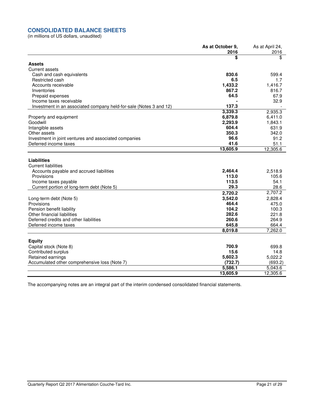## **CONSOLIDATED BALANCE SHEETS**

(in millions of US dollars, unaudited)

|                                                                    | As at October 9, | As at April 24, |
|--------------------------------------------------------------------|------------------|-----------------|
|                                                                    | 2016             | 2016            |
|                                                                    | \$               | \$              |
| <b>Assets</b>                                                      |                  |                 |
| <b>Current assets</b>                                              |                  |                 |
| Cash and cash equivalents                                          | 830.6            | 599.4           |
| Restricted cash                                                    | 6.5              | 1.7             |
| Accounts receivable                                                | 1,433.2          | 1,416.7         |
| Inventories                                                        | 867.2            | 816.7           |
| Prepaid expenses                                                   | 64.5             | 67.9            |
| Income taxes receivable                                            |                  | 32.9            |
| Investment in an associated company held-for-sale (Notes 3 and 12) | 137.3            |                 |
|                                                                    | 3,339.3          | 2,935.3         |
| Property and equipment                                             | 6,879.8          | 6,411.0         |
| Goodwill                                                           | 2,293.9          | 1,843.1         |
| Intangible assets                                                  | 604.4            | 631.9           |
| Other assets                                                       | 350.3            | 342.0           |
| Investment in joint ventures and associated companies              | 96.6             | 91.2            |
| Deferred income taxes                                              | 41.6             | 51.1            |
|                                                                    | 13,605.9         | 12,305.6        |
| <b>Liabilities</b>                                                 |                  |                 |
| <b>Current liabilities</b>                                         |                  |                 |
| Accounts payable and accrued liabilities                           | 2,464.4          | 2,518.9         |
| Provisions                                                         | 113.0            | 105.6           |
| Income taxes payable                                               | 113.5            | 54.1            |
| Current portion of long-term debt (Note 5)                         | 29.3             | 28.6            |
|                                                                    | 2,720.2          | 2,707.2         |
| Long-term debt (Note 5)                                            | 3,542.0          | 2,828.4         |
| Provisions                                                         | 464.4            | 475.0           |
| Pension benefit liability                                          | 104.2            | 100.3           |
| Other financial liabilities                                        | 282.6            | 221.8           |
| Deferred credits and other liabilities                             | 260.6            | 264.9           |
| Deferred income taxes                                              | 645.8            | 664.4           |
|                                                                    | 8,019.8          | 7,262.0         |
| <b>Equity</b>                                                      |                  |                 |
| Capital stock (Note 8)                                             | 700.9            | 699.8           |
| Contributed surplus                                                | 15.6             | 14.8            |
| Retained earnings                                                  | 5,602.3          | 5,022.2         |
| Accumulated other comprehensive loss (Note 7)                      | (732.7)          | (693.2)         |
|                                                                    | 5,586.1          | 5,043.6         |
|                                                                    | 13,605.9         | 12,305.6        |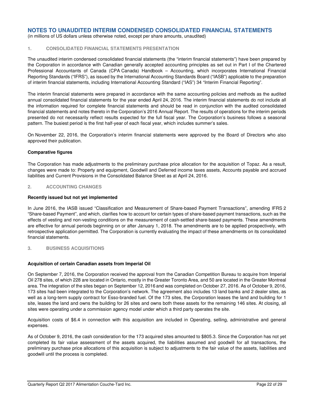(in millions of US dollars unless otherwise noted, except per share amounts, unaudited)

## **1. CONSOLIDATED FINANCIAL STATEMENTS PRESENTATION**

The unaudited interim condensed consolidated financial statements (the "interim financial statements") have been prepared by the Corporation in accordance with Canadian generally accepted accounting principles as set out in Part I of the Chartered Professional Accountants of Canada (CPA Canada) Handbook – Accounting, which incorporates International Financial Reporting Standards ("IFRS"), as issued by the International Accounting Standards Board ("IASB") applicable to the preparation of interim financial statements, including International Accounting Standard ("IAS") 34 "Interim Financial Reporting".

The interim financial statements were prepared in accordance with the same accounting policies and methods as the audited annual consolidated financial statements for the year ended April 24, 2016. The interim financial statements do not include all the information required for complete financial statements and should be read in conjunction with the audited consolidated financial statements and notes thereto in the Corporation's 2016 Annual Report. The results of operations for the interim periods presented do not necessarily reflect results expected for the full fiscal year. The Corporation's business follows a seasonal pattern. The busiest period is the first half-year of each fiscal year, which includes summer's sales.

On November 22, 2016, the Corporation's interim financial statements were approved by the Board of Directors who also approved their publication.

### **Comparative figures**

The Corporation has made adjustments to the preliminary purchase price allocation for the acquisition of Topaz. As a result, changes were made to: Property and equipment, Goodwill and Deferred income taxes assets, Accounts payable and accrued liabilities and Current Provisions in the Consolidated Balance Sheet as at April 24, 2016.

### **2. ACCOUNTING CHANGES**

### **Recently issued but not yet implemented**

In June 2016, the IASB issued "Classification and Measurement of Share-based Payment Transactions", amending IFRS 2 "Share-based Payment", and which, clarifies how to account for certain types of share-based payment transactions, such as the effects of vesting and non-vesting conditions on the measurement of cash-settled share-based payments. These amendments are effective for annual periods beginning on or after January 1, 2018. The amendments are to be applied prospectively, with retrospective application permitted. The Corporation is currently evaluating the impact of these amendments on its consolidated financial statements.

## **3. BUSINESS ACQUISITIONS**

### **Acquisition of certain Canadian assets from Imperial Oil**

On September 7, 2016, the Corporation received the approval from the Canadian Competition Bureau to acquire from Imperial Oil 278 sites, of which 228 are located in Ontario, mostly in the Greater Toronto Area, and 50 are located in the Greater Montreal area. The integration of the sites began on September 12, 2016 and was completed on October 27, 2016. As of October 9, 2016, 173 sites had been integrated to the Corporation's network. The agreement also includes 13 land banks and 2 dealer sites, as well as a long-term supply contract for Esso-branded fuel. Of the 173 sites, the Corporation leases the land and building for 1 site, leases the land and owns the building for 26 sites and owns both these assets for the remaining 146 sites. At closing, all sites were operating under a commission agency model under which a third party operates the site.

Acquisition costs of \$6.4 in connection with this acquisition are included in Operating, selling, administrative and general expenses.

As of October 9, 2016, the cash consideration for the 173 acquired sites amounted to \$805.3. Since the Corporation has not yet completed its fair value assessment of the assets acquired, the liabilities assumed and goodwill for all transactions, the preliminary purchase price allocations of this acquisition is subject to adjustments to the fair value of the assets, liabilities and goodwill until the process is completed.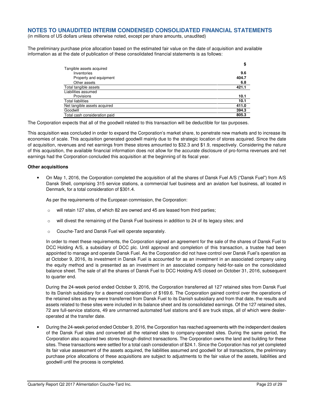(in millions of US dollars unless otherwise noted, except per share amounts, unaudited)

The preliminary purchase price allocation based on the estimated fair value on the date of acquisition and available information as at the date of publication of these consolidated financial statements is as follows:

|                               | \$    |
|-------------------------------|-------|
| Tangible assets acquired      |       |
| Inventories                   | 9.6   |
| Property and equipment        | 404.7 |
| Other assets                  | 6.8   |
| Total tangible assets         | 421.1 |
| Liabilities assumed           |       |
| Provisions                    | 10.1  |
| <b>Total liabilities</b>      | 10.1  |
| Net tangible assets acquired  | 411.0 |
| Goodwill                      | 394.3 |
| Total cash consideration paid | 805.3 |

The Corporation expects that all of the goodwill related to this transaction will be deductible for tax purposes.

This acquisition was concluded in order to expand the Corporation's market share, to penetrate new markets and to increase its economies of scale. This acquisition generated goodwill mainly due to the strategic location of stores acquired. Since the date of acquisition, revenues and net earnings from these stores amounted to \$32.3 and \$1.9, respectively. Considering the nature of this acquisition, the available financial information does not allow for the accurate disclosure of pro-forma revenues and net earnings had the Corporation concluded this acquisition at the beginning of its fiscal year.

## **Other acquisitions**

• On May 1, 2016, the Corporation completed the acquisition of all the shares of Dansk Fuel A/S ("Dansk Fuel") from A/S Dansk Shell, comprising 315 service stations, a commercial fuel business and an aviation fuel business, all located in Denmark, for a total consideration of \$301.4.

As per the requirements of the European commission, the Corporation:

- $\circ$  will retain 127 sites, of which 82 are owned and 45 are leased from third parties;
- o will divest the remaining of the Dansk Fuel business in addition to 24 of its legacy sites; and
- o Couche-Tard and Dansk Fuel will operate separately.

In order to meet these requirements, the Corporation signed an agreement for the sale of the shares of Dansk Fuel to DCC Holding A/S, a subsidiary of DCC plc. Until approval and completion of this transaction, a trustee had been appointed to manage and operate Dansk Fuel. As the Corporation did not have control over Dansk Fuel's operation as at October 9, 2016, its investment in Dansk Fuel is accounted for as an investment in an associated company using the equity method and is presented as an investment in an associated company held-for-sale on the consolidated balance sheet. The sale of all the shares of Dansk Fuel to DCC Holding A/S closed on October 31, 2016, subsequent to quarter end.

During the 24-week period ended October 9, 2016, the Corporation transferred all 127 retained sites from Dansk Fuel to its Danish subsidiary for a deemed consideration of \$169.6. The Corporation gained control over the operations of the retained sites as they were transferred from Dansk Fuel to its Danish subsidiary and from that date, the results and assets related to these sites were included in its balance sheet and its consolidated earnings. Of the 127 retained sites, 72 are full-service stations, 49 are unmanned automated fuel stations and 6 are truck stops, all of which were dealeroperated at the transfer date.

• During the 24-week period ended October 9, 2016, the Corporation has reached agreements with the independent dealers of the Dansk Fuel sites and converted all the retained sites to company-operated sites. During the same period, the Corporation also acquired two stores through distinct transactions. The Corporation owns the land and building for these sites. These transactions were settled for a total cash consideration of \$24.1. Since the Corporation has not yet completed its fair value assessment of the assets acquired, the liabilities assumed and goodwill for all transactions, the preliminary purchase price allocations of these acquisitions are subject to adjustments to the fair value of the assets, liabilities and goodwill until the process is completed.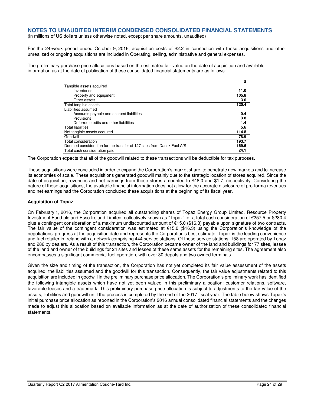(in millions of US dollars unless otherwise noted, except per share amounts, unaudited)

For the 24-week period ended October 9, 2016, acquisition costs of \$2.2 in connection with these acquisitions and other unrealized or ongoing acquisitions are included in Operating, selling, administrative and general expenses.

The preliminary purchase price allocations based on the estimated fair value on the date of acquisition and available information as at the date of publication of these consolidated financial statements are as follows:

|                                                                        | \$    |
|------------------------------------------------------------------------|-------|
| Tangible assets acquired                                               |       |
| Inventories                                                            | 11.0  |
| Property and equipment                                                 | 105.8 |
| Other assets                                                           | 3.6   |
| Total tangible assets                                                  | 120.4 |
| Liabilities assumed                                                    |       |
| Accounts payable and accrued liabilities                               | 0.4   |
| Provisions                                                             | 3.8   |
| Deferred credits and other liabilities                                 | 1.4   |
| <b>Total liabilities</b>                                               | 5.6   |
| Net tangible assets acquired                                           | 114.8 |
| Goodwill                                                               | 78.9  |
| Total consideration                                                    | 193.7 |
| Deemed consideration for the transfer of 127 sites from Dansk Fuel A/S | 169.6 |
| Total cash consideration paid                                          | 24.1  |

The Corporation expects that all of the goodwill related to these transactions will be deductible for tax purposes.

These acquisitions were concluded in order to expand the Corporation's market share, to penetrate new markets and to increase its economies of scale. These acquisitions generated goodwill mainly due to the strategic location of stores acquired. Since the date of acquisition, revenues and net earnings from these stores amounted to \$48.0 and \$1.7, respectively. Considering the nature of these acquisitions, the available financial information does not allow for the accurate disclosure of pro-forma revenues and net earnings had the Corporation concluded these acquisitions at the beginning of its fiscal year.

### **Acquisition of Topaz**

On February 1, 2016, the Corporation acquired all outstanding shares of Topaz Energy Group Limited, Resource Property Investment Fund plc and Esso Ireland Limited, collectively known as "Topaz" for a total cash consideration of €257.5 or \$280.4 plus a contingent consideration of a maximum undiscounted amount of €15.0 (\$16.3) payable upon signature of two contracts. The fair value of the contingent consideration was estimated at €15.0 (\$16.3) using the Corporation's knowledge of the negotiations' progress at the acquisition date and represents the Corporation's best estimate. Topaz is the leading convenience and fuel retailer in Ireland with a network comprising 444 service stations. Of these service stations, 158 are operated by Topaz and 286 by dealers. As a result of this transaction, the Corporation became owner of the land and buildings for 77 sites, lessee of the land and owner of the buildings for 24 sites and lessee of these same assets for the remaining sites. The agreement also encompasses a significant commercial fuel operation, with over 30 depots and two owned terminals.

Given the size and timing of the transaction, the Corporation has not yet completed its fair value assessment of the assets acquired, the liabilities assumed and the goodwill for this transaction. Consequently, the fair value adjustments related to this acquisition are included in goodwill in the preliminary purchase price allocation. The Corporation's preliminary work has identified the following intangible assets which have not yet been valued in this preliminary allocation: customer relations, software, favorable leases and a trademark. This preliminary purchase price allocation is subject to adjustments to the fair value of the assets, liabilities and goodwill until the process is completed by the end of the 2017 fiscal year. The table below shows Topaz's initial purchase price allocation as reported in the Corporation's 2016 annual consolidated financial statements and the changes made to adjust this allocation based on available information as at the date of authorization of these consolidated financial statements.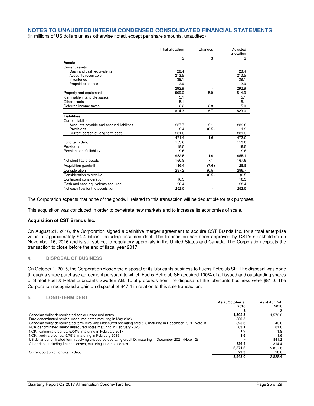(in millions of US dollars unless otherwise noted, except per share amounts, unaudited)

|                                          | Initial allocation | Changes | Adjusted<br>allocation |
|------------------------------------------|--------------------|---------|------------------------|
|                                          | \$                 | \$      | \$                     |
| <b>Assets</b>                            |                    |         |                        |
| Current assets                           |                    |         |                        |
| Cash and cash equivalents                | 28.4               |         | 28.4                   |
| Accounts receivable                      | 213.5              |         | 213.5                  |
| Inventories                              | 38.1               |         | 38.1                   |
| Prepaid expenses                         | 12.9               |         | 12.9                   |
|                                          | 292.9              |         | 292.9                  |
| Property and equipment                   | 509.0              | 5.9     | 514.9                  |
| Identifiable intangible assets           | 5.1                |         | 5.1                    |
| Other assets                             | 5.1                |         | 5.1                    |
| Deferred income taxes                    | 2.2                | 2.8     | 5.0                    |
|                                          | 814.3              | 8.7     | 823.0                  |
| <b>Liabilities</b>                       |                    |         |                        |
| <b>Current liabilities</b>               |                    |         |                        |
| Accounts payable and accrued liabilities | 237.7              | 2.1     | 239.8                  |
| Provisions                               | 2.4                | (0.5)   | 1.9                    |
| Current portion of long-term debt        | 231.3              |         | 231.3                  |
|                                          | 471.4              | 1.6     | 473.0                  |
| Long term debt                           | 153.0              |         | 153.0                  |
| Provisions                               | 19.5               |         | 19.5                   |
| Pension benefit liability                | 9.6                |         | 9.6                    |
|                                          | 653.5              | 1.6     | 655.1                  |
| Net identifiable assets                  | 160.8              | 7.1     | 167.9                  |
| Acquisition goodwill                     | 136.4              | (7.6)   | 128.8                  |
| Consideration                            | 297.2              | (0.5)   | 296.7                  |
| Consideration to receive                 |                    | (0.5)   | (0.5)                  |
| Contingent consideration                 | 16.3               |         | 16.3                   |
| Cash and cash equivalents acquired       | 28.4               |         | 28.4                   |
| Net cash flow for the acquisition        | 252.5              | ٠       | 252.5                  |

The Corporation expects that none of the goodwill related to this transaction will be deductible for tax purposes.

This acquisition was concluded in order to penetrate new markets and to increase its economies of scale.

#### **Acquisition of CST Brands Inc.**

On August 21, 2016, the Corporation signed a definitive merger agreement to acquire CST Brands Inc. for a total enterprise value of approximately \$4.4 billion, including assumed debt. The transaction has been approved by CST's stockholders on November 16, 2016 and is still subject to regulatory approvals in the United States and Canada. The Corporation expects the transaction to close before the end of fiscal year 2017.

### **4. DISPOSAL OF BUSINESS**

On October 1, 2015, the Corporation closed the disposal of its lubricants business to Fuchs Petrolub SE. The disposal was done through a share purchase agreement pursuant to which Fuchs Petrolub SE acquired 100% of all issued and outstanding shares of Statoil Fuel & Retail Lubricants Sweden AB. Total proceeds from the disposal of the lubricants business were \$81.0. The Corporation recognized a gain on disposal of \$47.4 in relation to this sale transaction.

## **5. LONG-TERM DEBT**

|                                                                                                              | As at October 9. | As at April 24. |
|--------------------------------------------------------------------------------------------------------------|------------------|-----------------|
|                                                                                                              | 2016             | 2016            |
|                                                                                                              |                  |                 |
| Canadian dollar denominated senior unsecured notes                                                           | 1,502.5          | 1.573.2         |
| Euro denominated senior unsecured notes maturing in May 2026                                                 | 830.5            |                 |
| Canadian dollar denominated term revolving unsecured operating credit D, maturing in December 2021 (Note 12) | 825.3            | 43.0            |
| NOK denominated senior unsecured notes maturing in February 2026                                             | 83.1             | 81.8            |
| NOK floating-rate bonds, 5.04%, maturing in February 2017                                                    | 1.9              | 1.8             |
| NOK fixed-rate bonds, 5.75%, maturing in February 2019                                                       | 1.6              | 1.6             |
| US dollar denominated term revolving unsecured operating credit D, maturing in December 2021 (Note 12)       |                  | 841.2           |
| Other debt, including finance leases, maturing at various dates                                              | 326.4            | 314.4           |
|                                                                                                              | 3.571.3          | 2.857.0         |
| Current portion of long-term debt                                                                            | 29.3             | 28.6            |
|                                                                                                              | 3.542.0          | 2.828.4         |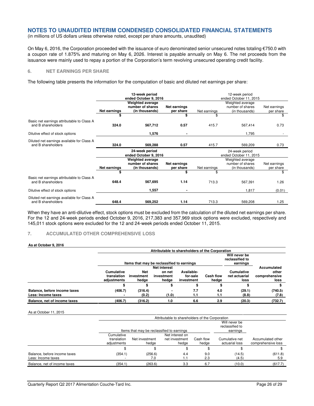(in millions of US dollars unless otherwise noted, except per share amounts, unaudited)

On May 6, 2016, the Corporation proceeded with the issuance of euro denominated senior unsecured notes totaling  $\epsilon$ 750.0 with a coupon rate of 1.875% and maturing on May 6, 2026. Interest is payable annually on May 6. The net proceeds from the issuance were mainly used to repay a portion of the Corporation's term revolving unsecured operating credit facility.

## **6. NET EARNINGS PER SHARE**

The following table presents the information for the computation of basic and diluted net earnings per share:

|                                                                  |                                         | 12-week period<br>ended October 9, 2016                       |                           |                                          | 12-week period<br>ended October 11, 2015               |                           |  |  |  |
|------------------------------------------------------------------|-----------------------------------------|---------------------------------------------------------------|---------------------------|------------------------------------------|--------------------------------------------------------|---------------------------|--|--|--|
|                                                                  | Net earnings                            | <b>Weighted average</b><br>number of shares<br>(in thousands) | Net earnings<br>per share | Net earnings                             | Weighted average<br>number of shares<br>(in thousands) | Net earnings<br>per share |  |  |  |
|                                                                  | \$                                      |                                                               | S                         | \$                                       |                                                        | \$                        |  |  |  |
| Basic net earnings attributable to Class A<br>and B shareholders | 324.0                                   | 567,712                                                       | 0.57                      | 415.7                                    | 567,414                                                | 0.73                      |  |  |  |
| Dilutive effect of stock options                                 |                                         | 1,576                                                         |                           |                                          | 1,795                                                  |                           |  |  |  |
| Diluted net earnings available for Class A<br>and B shareholders | 324.0                                   | 569,288                                                       | 0.57                      | 415.7                                    | 569,209                                                | 0.73                      |  |  |  |
|                                                                  | 24-week period<br>ended October 9, 2016 |                                                               |                           | 24-week period<br>ended October 11, 2015 |                                                        |                           |  |  |  |
|                                                                  | Net earnings                            | Weighted average<br>number of shares<br>(in thousands)        | Net earnings<br>per share | Net earnings                             | Weighted average<br>number of shares<br>(in thousands) | Net earnings<br>per share |  |  |  |
|                                                                  | \$                                      |                                                               | \$                        | \$                                       |                                                        | \$                        |  |  |  |
| Basic net earnings attributable to Class A<br>and B shareholders | 648.4                                   | 567,695                                                       | 1.14                      | 713.3                                    | 567,391                                                | 1.26                      |  |  |  |
| Dilutive effect of stock options                                 |                                         | 1,557                                                         |                           |                                          | 1,817                                                  | (0.01)                    |  |  |  |
| Diluted net earnings available for Class A<br>and B shareholders | 648.4                                   | 569,252                                                       | 1.14                      | 713.3                                    | 569,208                                                | 1.25                      |  |  |  |

When they have an anti-dilutive effect, stock options must be excluded from the calculation of the diluted net earnings per share. For the 12 and 24-week periods ended October 9, 2016, 217,383 and 357,969 stock options were excluded, respectively and 145,011 stock options were excluded for the 12 and 24-week periods ended October 11, 2015.

### **7. ACCUMULATED OTHER COMPREHENSIVE LOSS**

#### **As at October 9, 2016**

|                              | Attributable to shareholders of the Corporation |                                            |                                              |             |                  |               |               |  |  |
|------------------------------|-------------------------------------------------|--------------------------------------------|----------------------------------------------|-------------|------------------|---------------|---------------|--|--|
|                              |                                                 | Items that may be reclassified to earnings | Will never be<br>reclassified to<br>earnings |             |                  |               |               |  |  |
|                              |                                                 |                                            |                                              | Accumulated |                  |               |               |  |  |
|                              | Cumulative                                      | <b>Net</b>                                 | on net                                       | Available-  |                  | Cumulative    | other         |  |  |
|                              | translation                                     | investment                                 | investment                                   | for-sale    | <b>Cash flow</b> | net actuarial | comprehensive |  |  |
|                              | adjustments                                     | hedge                                      | hedge                                        | investment  | hedge            | loss          | loss          |  |  |
|                              |                                                 |                                            |                                              |             | ъ                |               |               |  |  |
| Balance, before income taxes | (406.7)                                         | (316.4)                                    |                                              | 7.7         | 4.0              | (29.1)        | (740.5)       |  |  |
| Less: Income taxes           |                                                 | (0.2)                                      | (1.0)                                        | 1.1         | 1.1              | (8.8)         | (7.8)         |  |  |
| Balance, net of income taxes | (406.7)                                         | (316.2)                                    | 1.0                                          | 6.6         | 2.9              | (20.3)        | (732.7)       |  |  |

#### As at October 11, 2015

|                                                    |                                          | Attributable to shareholders of the Corporation                       |                                              |                    |                                  |                                         |  |  |  |  |
|----------------------------------------------------|------------------------------------------|-----------------------------------------------------------------------|----------------------------------------------|--------------------|----------------------------------|-----------------------------------------|--|--|--|--|
|                                                    |                                          | Items that may be reclassified to earnings                            | Will never be<br>reclassified to<br>earnings |                    |                                  |                                         |  |  |  |  |
|                                                    | Cumulative<br>translation<br>adjustments | Net interest on<br>net investment<br>Net investment<br>hedae<br>hedae |                                              | Cash flow<br>hedge | Cumulative net<br>actuarial loss | Accumulated other<br>comprehensive loss |  |  |  |  |
|                                                    |                                          |                                                                       |                                              |                    |                                  |                                         |  |  |  |  |
| Balance, before income taxes<br>Less: Income taxes | (354.1)                                  | (256.6)<br>7.0                                                        | 4.4<br>1.1                                   | 9.0<br>2.3         | (14.5)<br>(4.5)                  | (611.8)<br>5.9                          |  |  |  |  |
| Balance, net of income taxes                       | (354.1)                                  | (263.6)                                                               | 3.3                                          | 6.7                | (10.0)                           | (617.7)                                 |  |  |  |  |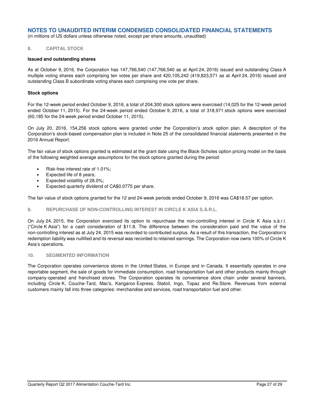(in millions of US dollars unless otherwise noted, except per share amounts, unaudited)

## **8. CAPITAL STOCK**

#### **Issued and outstanding shares**

As at October 9, 2016, the Corporation has 147,766,540 (147,766,540 as at April 24, 2016) issued and outstanding Class A multiple voting shares each comprising ten votes per share and 420,105,242 (419,823,571 as at April 24, 2016) issued and outstanding Class B subordinate voting shares each comprising one vote per share.

#### **Stock options**

For the 12-week period ended October 9, 2016, a total of 204,300 stock options were exercised (14,025 for the 12-week period ended October 11, 2015). For the 24-week period ended October 9, 2016, a total of 318,971 stock options were exercised (60,185 for the 24-week period ended October 11, 2015).

On July 20, 2016, 154,256 stock options were granted under the Corporation's stock option plan. A description of the Corporation's stock-based compensation plan is included in Note 25 of the consolidated financial statements presented in the 2016 Annual Report.

The fair value of stock options granted is estimated at the grant date using the Black-Scholes option pricing model on the basis of the following weighted average assumptions for the stock options granted during the period:

- Risk-free interest rate of 1.01%;
- Expected life of 8 years;
- Expected volatility of 28.0%;
- Expected quarterly dividend of CA\$0.0775 per share.

The fair value of stock options granted for the 12 and 24-week periods ended October 9, 2016 was CA\$18.57 per option.

### **9. REPURCHASE OF NON-CONTROLLING INTEREST IN CIRCLE K ASIA S.À.R.L.**

On July 24, 2015, the Corporation exercised its option to repurchase the non-controlling interest in Circle K Asia s.à.r.l. ("Circle K Asia") for a cash consideration of \$11.8. The difference between the consideration paid and the value of the non-controlling interest as at July 24, 2015 was recorded to contributed surplus. As a result of this transaction, the Corporation's redemption liability was nullified and its reversal was recorded to retained earnings. The Corporation now owns 100% of Circle K Asia's operations.

### **10. SEGMENTED INFORMATION**

The Corporation operates convenience stores in the United States, in Europe and in Canada. It essentially operates in one reportable segment, the sale of goods for immediate consumption, road transportation fuel and other products mainly through company-operated and franchised stores. The Corporation operates its convenience store chain under several banners, including Circle K, Couche-Tard, Mac's, Kangaroo Express, Statoil, Ingo, Topaz and Re.Store. Revenues from external customers mainly fall into three categories: merchandise and services, road transportation fuel and other.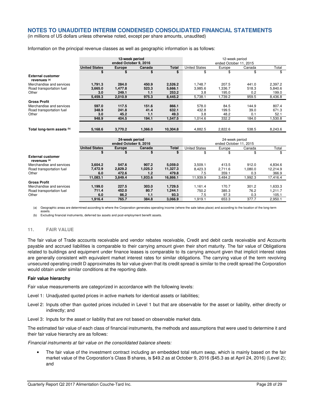(in millions of US dollars unless otherwise noted, except per share amounts, unaudited)

Information on the principal revenue classes as well as geographic information is as follows:

|                                                     | 12-week period<br>ended October 9, 2016 |                       |         |              | 12-week period<br>ended October 11, 2015 |         |         |          |  |
|-----------------------------------------------------|-----------------------------------------|-----------------------|---------|--------------|------------------------------------------|---------|---------|----------|--|
|                                                     | <b>United States</b>                    | <b>Europe</b>         | Canada  | <b>Total</b> | <b>United States</b>                     | Europe  | Canada  | Total    |  |
|                                                     | \$                                      | \$                    | \$      | \$           | \$                                       | \$      | \$      | \$       |  |
| <b>External customer</b><br>revenues <sup>(a)</sup> |                                         |                       |         |              |                                          |         |         |          |  |
| Merchandise and services                            | 1,791.3                                 | 284.0                 | 450.9   | 2,526.2      | 1.748.7                                  | 207.5   | 441.0   | 2,397.2  |  |
| Road transportation fuel                            | 3.665.0                                 | 1.477.8               | 523.3   | 5.666.1      | 3.985.6                                  | 1.336.7 | 518.3   | 5.840.6  |  |
| Other                                               | 3.0                                     | 249.1                 | 1.1     | 253.2        | 3.8                                      | 195.0   | 0.2     | 199.0    |  |
|                                                     | 5.459.3                                 | 2.010.9               | 975.3   | 8.445.2      | 5.738.1                                  | 1.739.2 | 959.5   | 8.436.8  |  |
| <b>Gross Profit</b>                                 |                                         |                       |         |              |                                          |         |         |          |  |
| Merchandise and services                            | 597.0                                   | 117.5                 | 151.6   | 866.1        | 578.0                                    | 84.5    | 144.9   | 807.4    |  |
| Road transportation fuel                            | 348.9                                   | 241.8                 | 41.4    | 632.1        | 432.8                                    | 199.5   | 39.0    | 671.3    |  |
| Other                                               | 3.0                                     | 45.2                  | 1.1     | 49.3         | 3.8                                      | 48.2    | 0.1     | 52.1     |  |
|                                                     | 948.9                                   | 404.5                 | 194.1   | 1,547.5      | 1.014.6                                  | 332.2   | 184.0   | 1.530.8  |  |
|                                                     |                                         |                       |         |              |                                          |         |         |          |  |
| Total long-term assets (b)                          | 5.168.6                                 | 3,770.2               | 1.366.0 | 10,304.8     | 4.882.5                                  | 2.822.6 | 538.5   | 8.243.6  |  |
|                                                     |                                         |                       |         |              |                                          |         |         |          |  |
|                                                     | 24-week period                          |                       |         |              | 24-week period                           |         |         |          |  |
|                                                     |                                         | ended October 9, 2016 |         |              | ended October 11, 2015                   |         |         |          |  |
|                                                     | <b>United States</b>                    | <b>Europe</b>         | Canada  | <b>Total</b> | <b>United States</b>                     | Europe  | Canada  | Total    |  |
|                                                     | \$                                      | \$                    | \$      | \$           | \$                                       | \$      | \$      | \$       |  |
| <b>External customer</b><br>revenues <sup>(a)</sup> |                                         |                       |         |              |                                          |         |         |          |  |
| Merchandise and services                            | 3,604.2                                 | 547.6                 | 907.2   | 5.059.0      | 3,509.1                                  | 413.5   | 912.0   | 4,834.6  |  |
| Road transportation fuel                            | 7,472.9                                 | 2,829.2               | 1,025.2 | 11,327.3     | 8.423.3                                  | 2,711.6 | 1.080.0 | 12.214.9 |  |
| Other                                               | 6.0                                     | 472.6                 | 1.2     | 479.8        | 7.5                                      | 359.1   | 0.3     | 366.9    |  |
|                                                     | 11.083.1                                | 3.849.4               | 1.933.6 | 16.866.1     | 11.939.9                                 | 3.484.2 | 1.992.3 | 17.416.4 |  |
| <b>Gross Profit</b>                                 |                                         |                       |         |              |                                          |         |         |          |  |
| Merchandise and services                            | 1,199.0                                 | 227.5                 | 303.0   | 1.729.5      | 1.161.4                                  | 170.7   | 301.2   | 1.633.3  |  |
| Road transportation fuel                            | 711.4                                   | 452.0                 | 80.7    | 1,244.1      | 750.2                                    | 385.3   | 76.2    | 1.211.7  |  |
| Other                                               | 6.0                                     | 86.2                  | 1.1     | 93.3         | 7.5                                      | 97.3    | 0.3     | 105.1    |  |
|                                                     | 1.916.4                                 | 765.7                 | 384.8   | 3.066.9      | 1.919.1                                  | 653.3   | 377.7   | 2.950.1  |  |

(a) Geographic areas are determined according to where the Corporation generates operating income (where the sale takes place) and according to the location of the long-term assets.

(b) Excluding financial instruments, deferred tax assets and post-employment benefit assets.

#### **11. FAIR VALUE**

The fair value of Trade accounts receivable and vendor rebates receivable, Credit and debit cards receivable and Accounts payable and accrued liabilities is comparable to their carrying amount given their short maturity. The fair value of Obligations related to buildings and equipment under finance leases is comparable to its carrying amount given that implicit interest rates are generally consistent with equivalent market interest rates for similar obligations. The carrying value of the term revolving unsecured operating credit D approximates its fair value given that its credit spread is similar to the credit spread the Corporation would obtain under similar conditions at the reporting date.

#### **Fair value hierarchy**

Fair value measurements are categorized in accordance with the following levels:

Level 1: Unadjusted quoted prices in active markets for identical assets or liabilities;

Level 2: Inputs other than quoted prices included in Level 1 but that are observable for the asset or liability, either directly or indirectly; and

Level 3: Inputs for the asset or liability that are not based on observable market data.

The estimated fair value of each class of financial instruments, the methods and assumptions that were used to determine it and their fair value hierarchy are as follows:

Financial instruments at fair value on the consolidated balance sheets:

• The fair value of the investment contract including an embedded total return swap, which is mainly based on the fair market value of the Corporation's Class B shares, is \$49.2 as at October 9, 2016 (\$45.3 as at April 24, 2016) (Level 2); and